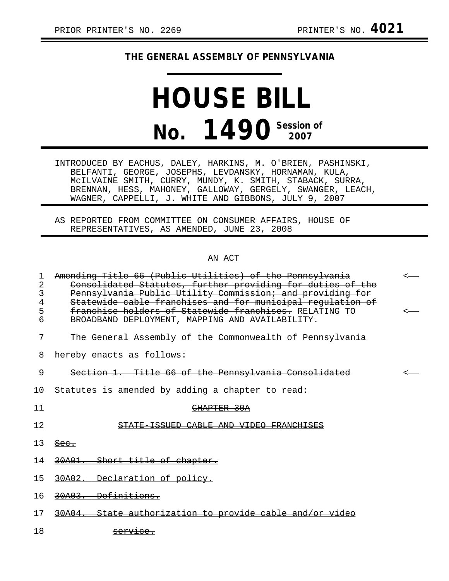## **THE GENERAL ASSEMBLY OF PENNSYLVANIA**

## **HOUSE BILL No. 1490 Session of 2007**

INTRODUCED BY EACHUS, DALEY, HARKINS, M. O'BRIEN, PASHINSKI, BELFANTI, GEORGE, JOSEPHS, LEVDANSKY, HORNAMAN, KULA, McILVAINE SMITH, CURRY, MUNDY, K. SMITH, STABACK, SURRA, BRENNAN, HESS, MAHONEY, GALLOWAY, GERGELY, SWANGER, LEACH, WAGNER, CAPPELLI, J. WHITE AND GIBBONS, JULY 9, 2007

AS REPORTED FROM COMMITTEE ON CONSUMER AFFAIRS, HOUSE OF REPRESENTATIVES, AS AMENDED, JUNE 23, 2008

## AN ACT

| 1<br>2<br>3<br>4<br>5<br>6 | Amending Title 66 (Public Utilities) of the Pennsylvania<br>Consolidated Statutes, further providing for duties of the<br>Pennsylvania Public Utility Commission; and providing for<br>Statewide cable franchises and for municipal requlation of<br>franchise holders of Statewide franchises. RELATING TO<br>BROADBAND DEPLOYMENT, MAPPING AND AVAILABILITY. |  |
|----------------------------|----------------------------------------------------------------------------------------------------------------------------------------------------------------------------------------------------------------------------------------------------------------------------------------------------------------------------------------------------------------|--|
| 7                          | The General Assembly of the Commonwealth of Pennsylvania                                                                                                                                                                                                                                                                                                       |  |
|                            |                                                                                                                                                                                                                                                                                                                                                                |  |
| 8                          | hereby enacts as follows:                                                                                                                                                                                                                                                                                                                                      |  |
| 9                          | Section 1. Title 66 of the Pennsylvania Consolidated                                                                                                                                                                                                                                                                                                           |  |
| 10                         | Statutes is amended by adding a chapter to read:                                                                                                                                                                                                                                                                                                               |  |
| 11                         | <del>CHAPTER 30A</del>                                                                                                                                                                                                                                                                                                                                         |  |
| 12                         | STATE ISSUED CABLE AND VIDEO FRANCHISES                                                                                                                                                                                                                                                                                                                        |  |
| 13                         | <del>Sec.</del>                                                                                                                                                                                                                                                                                                                                                |  |
| 14                         | 30A01. Short title of chapter.                                                                                                                                                                                                                                                                                                                                 |  |
| 15                         | 30A02. Declaration of policy.                                                                                                                                                                                                                                                                                                                                  |  |
| 16                         | 30A03. Definitions.                                                                                                                                                                                                                                                                                                                                            |  |
| 17                         | 30A04. State authorization to provide cable and/or                                                                                                                                                                                                                                                                                                             |  |
| 18                         | <del>servic</del>                                                                                                                                                                                                                                                                                                                                              |  |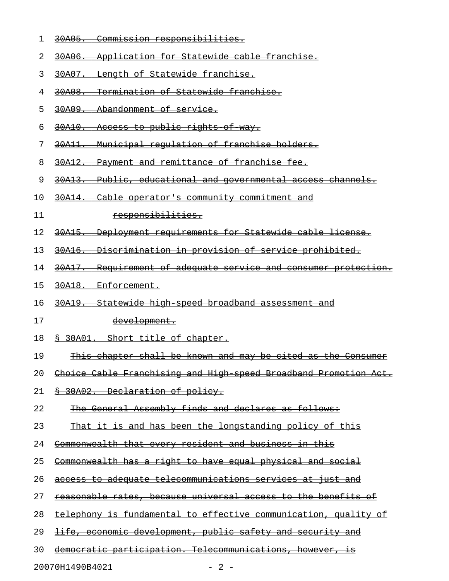- 1 30A05. Commission responsibilities.
- 2 30A06. Application for Statewide cable franchise.
- 3 30A07. Length of Statewide franchise.
- 4 30A08. Termination of Statewide franchise.
- 5 30A09. Abandonment of service.
- 6 30A10. Access to public rights of way.
- 7 30A11. Municipal requlation of franchise holders.
- 8 30A12. Payment and remittance of franchise fee.
- 9 30A13. Public, educational and governmental access channels.
- 10 30A14. Cable operator's community commitment and
- 11 responsibilities.
- 12 <del>30A15. Deployment requirements for Statewide cable license.</del>
- 13 30A16. Discrimination in provision of service prohibited.
- 14 30A17. Requirement of adequate service and consumer protection.
- 15 30A18. Enforcement.
- 16 30A19. Statewide high speed broadband assessment and
- 17 development.
- 18 § 30A01. Short title of chapter.
- 19 This chapter shall be known and may be cited as the Consumer
- 20 Choice Cable Franchising and High speed Broadband Promotion Act.
- 21 § 30A02. Declaration of policy.
- 22 The General Assembly finds and declares as follows:
- 23 That it is and has been the longstanding policy of this
- 24 Commonwealth that every resident and business in this
- 25 Commonwealth has a right to have equal physical and social
- 26 access to adequate telecommunications services at just and
- 27 reasonable rates, because universal access to the benefits of
- 28 telephony is fundamental to effective communication, quality of
- 29 <del>life, economic development, public safety and security and</del>
- 30 democratic participation. Telecommunications, however, is

20070H1490B4021 - 2 -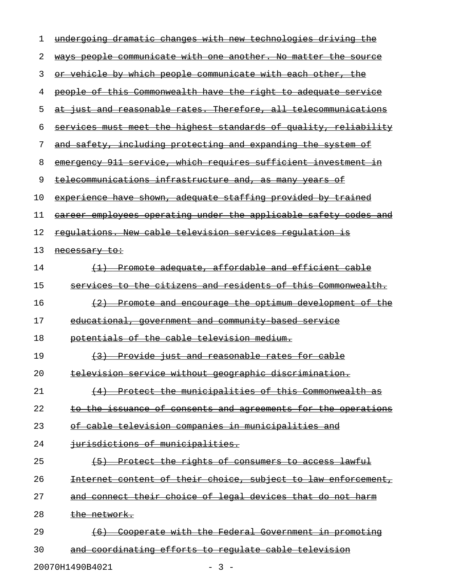| 1  | undergoing dramatic changes with new technologies driving the    |
|----|------------------------------------------------------------------|
| 2  | ways people communicate with one another. No matter the source   |
| 3  | or vehicle by which people communicate with each other, the      |
| 4  | people of this Commonwealth have the right to adequate service   |
| 5  | at just and reasonable rates. Therefore, all telecommunications  |
| 6  | services must meet the highest standards of quality, reliability |
| 7  | and safety, including protecting and expanding the system of     |
| 8  | emergency 911 service, which requires sufficient investment in   |
| 9  | telecommunications infrastructure and, as many years of          |
| 10 | experience have shown, adequate staffing provided by trained     |
| 11 | career employees operating under the applicable safety codes and |
| 12 | requlations. New cable television services requlation is         |
| 13 | <del>necessary to:</del>                                         |
| 14 | (1) Promote adequate, affordable and efficient cable             |
| 15 | services to the citizens and residents of this Commonwealth.     |
| 16 | (2) Promote and encourage the optimum development of the         |
| 17 | <u>educational, government and community based service</u>       |
| 18 | potentials of the cable television medium.                       |
| 19 | (3) Provide just and reasonable rates for cable                  |
| 20 | <u>television service without geographic discrimination.</u>     |
| 21 | (4) Protect the municipalities of this Commonwealth as           |
| 22 | to the issuance of consents and agreements for the operations    |
| 23 | of cable television companies in municipalities and              |
| 24 | iurisdictions of municipalities.                                 |
| 25 | (5) Protect the rights of consumers to access lawful             |
| 26 | Internet content of their choice, subject to law enforcement,    |
| 27 | and connect their choice of legal devices that do not harm       |
| 28 | the network.                                                     |
| 29 | (6) Cooperate with the Federal Government in promoting           |
| 30 | and coordinating efforts to regulate cable television            |
|    |                                                                  |

20070H1490B4021 - 3 -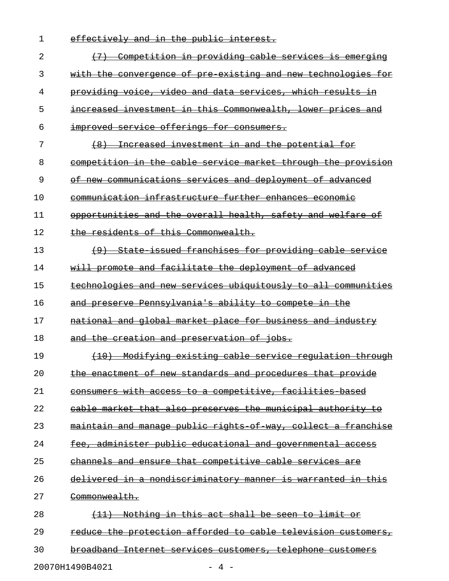| 1  | effectively and in the public interest.                           |
|----|-------------------------------------------------------------------|
| 2  | (7) Competition in providing cable services is emerging           |
| 3  | with the convergence of pre existing and new technologies for     |
| 4  | providing voice, video and data services, which results in        |
| 5  | increased investment in this Commonwealth, lower prices and       |
| 6  | improved service offerings for consumers.                         |
| 7  | (8) Increased investment in and the potential for                 |
| 8  | competition in the cable service market through the provision     |
| 9  | of new communications services and deployment of advanced         |
| 10 | communication infrastructure further enhances economic            |
| 11 | opportunities and the overall health, safety and welfare of       |
| 12 | the residents of this Commonwealth.                               |
| 13 | (9) State issued franchises for providing cable service           |
| 14 | will promote and facilitate the deployment of advanced            |
| 15 | technologies and new services ubiquitously to all communities     |
| 16 | and preserve Pennsylvania's ability to compete in the             |
| 17 | <u>national and global market place for business and industry</u> |
| 18 | and the creation and preservation of jobs.                        |
| 19 | (10) Modifying existing cable service regulation through          |
| 20 | the enactment of new standards and procedures that provide        |
| 21 | consumers with access to a competitive, facilities based          |
| 22 | cable market that also preserves the municipal authority to       |
| 23 | maintain and manage public rights of way, collect a franchise     |
| 24 | fee, administer public educational and governmental access        |
| 25 | channels and ensure that competitive cable services are           |
| 26 | delivered in a nondiscriminatory manner is warranted in this      |
| 27 | <del>Commonwealth.</del>                                          |
| 28 | Nothing in this act shall be seen to limit or                     |
| 29 | reduce the protection afforded to cable television customers,     |
| 30 | broadband Internet services customers, telephone customers        |
|    |                                                                   |

20070H1490B4021 - 4 -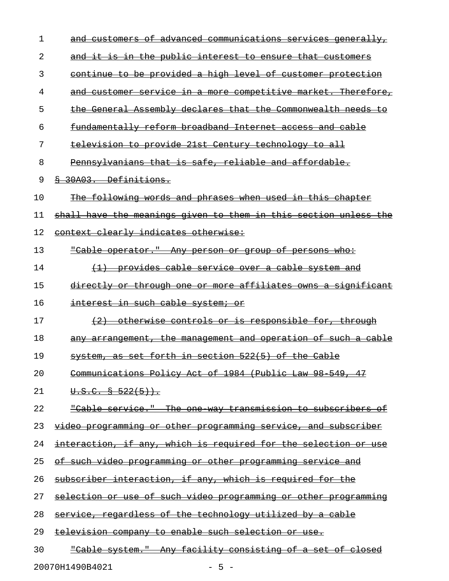| 1  | and customers of advanced communications services generally,      |
|----|-------------------------------------------------------------------|
| 2  | and it is in the public interest to ensure that customers         |
| 3  | continue to be provided a high level of customer protection       |
| 4  | and customer service in a more competitive market. Therefore,     |
| 5  | the General Assembly declares that the Commonwealth needs to      |
| 6  | fundamentally reform broadband Internet access and cable          |
| 7  | television to provide 21st Century technology to all              |
| 8  | Pennsylvanians that is safe, reliable and affordable.             |
| 9  | 8 30A03. Definitions.                                             |
| 10 | The following words and phrases when used in this chapter         |
| 11 | shall have the meanings given to them in this section unless the  |
| 12 | context clearly indicates otherwise:                              |
| 13 | <u> "Cable operator." Any person or group of persons who:</u>     |
| 14 | (1) provides cable service over a cable system and                |
| 15 | directly or through one or more affiliates owns a significant     |
| 16 | interest in such cable system; or                                 |
| 17 | (2) otherwise controls or is responsible for, through             |
| 18 | any arrangement, the management and operation of such a cable     |
| 19 | system, as set forth in section 522(5) of the Cable               |
| 20 | Communications Policy Act of 1984 (Public Law 98 549, 47          |
| 21 | $\overline{0.5.C. 8 522(5)}$ .                                    |
| 22 | "Cable service." The one way transmission to subscribers of       |
| 23 | video programming or other programming service, and subscriber    |
| 24 | interaction, if any, which is required for the selection or use   |
| 25 | <u>of such video programming or other programming service and</u> |
| 26 | subscriber interaction, if any, which is required for the         |
| 27 | selection or use of such video programming or other programming   |
| 28 | service, regardless of the technology utilized by a cable         |
| 29 | television company to enable such selection or use.               |
| 30 | "Cable system." Any facility consisting of a set of closed        |
|    |                                                                   |

20070H1490B4021 - 5 -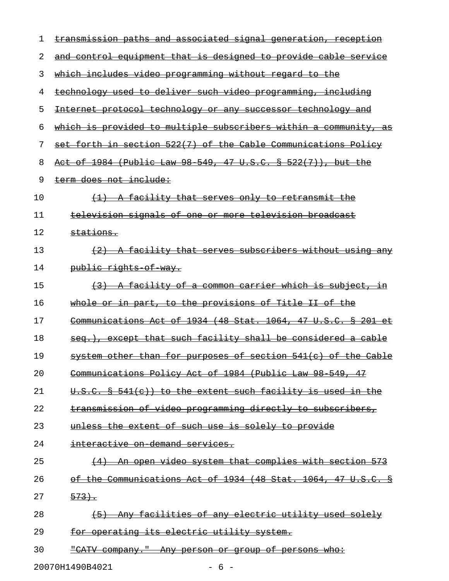| 1  | transmission paths and associated signal generation, reception   |
|----|------------------------------------------------------------------|
| 2  | and control equipment that is designed to provide cable service  |
| 3  | which includes video programming without regard to the           |
| 4  | technology used to deliver such video programming, including     |
| 5  | Internet protocol technology or any successor technology and     |
| 6  | which is provided to multiple subscribers within a community, as |
| 7  | set forth in section 522(7) of the Cable Communications Policy   |
| 8  | Act of 1984 (Public Law 98 549, 47 U.S.C. § 522(7)), but the     |
| 9  | term does not include:                                           |
| 10 | (1) A facility that serves only to retransmit the                |
| 11 | television signals of one or more television broadcast           |
| 12 | stations.                                                        |
| 13 | (2) A facility that serves subscribers without using any         |
| 14 | <del>public rights of way.</del>                                 |
| 15 | (3) A facility of a common carrier which is subject, in          |
| 16 | whole or in part, to the provisions of Title II of the           |
| 17 | Communications Act of 1934 (48 Stat. 1064, 47 U.S.C. § 201 et    |
| 18 | seq.), except that such facility shall be considered a cable     |
| 19 | system other than for purposes of section 541(c) of the Cable    |
| 20 | Communications Policy Act of 1984 (Public Law 98 549, 47         |
| 21 | U.S.C. § 541(c)) to the extent such facility is used in the      |
| 22 | transmission of video programming directly to subscribers,       |
| 23 | unless the extent of such use is solely to provide               |
| 24 | interactive on demand services.                                  |
| 25 | (4) An open video system that complies with section 573          |
| 26 | of the Communications Act of 1934 (48 Stat. 1064, 47 U.S.C. §    |
| 27 | 573.                                                             |
| 28 | (5) Any facilities of any electric utility used solely           |
| 29 | for operating its electric utility system.                       |
| 30 | "CATV company." Any person or group of persons who:              |
|    | 20070H1490B4021<br>$-6-$                                         |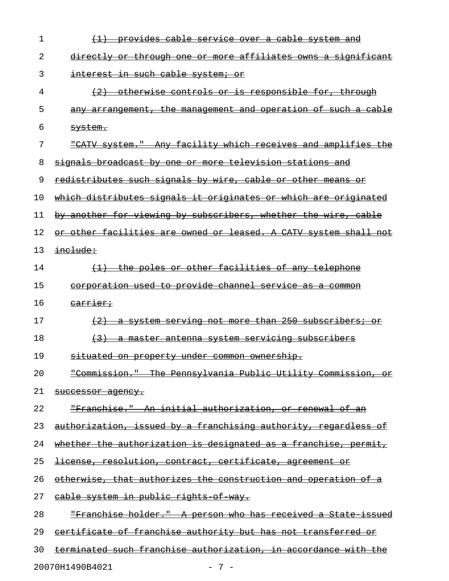| 1  | (1) provides cable service over a cable system and                   |
|----|----------------------------------------------------------------------|
| 2  | directly or through one or more affiliates owns a significant        |
| 3  | interest in such cable system; or                                    |
| 4  | (2) otherwise controls or is responsible for, through                |
| 5  | any arrangement, the management and operation of such a cable        |
| 6  | <del>svstem.</del>                                                   |
| 7  | "CATV system." Any facility which receives and amplifies the         |
| 8  | <u>signals broadcast by one or more television stations and</u>      |
| 9  | redistributes such signals by wire, cable or other means or          |
| 10 | which distributes signals it originates or which are originated      |
| 11 | by another for viewing by subscribers, whether the wire, cable       |
| 12 | or other facilities are owned or leased. A CATV system shall not     |
| 13 | include:                                                             |
| 14 | (1) the poles or other facilities of any telephone                   |
| 15 | corporation used to provide channel service as a common              |
| 16 | <del>carrier;</del>                                                  |
| 17 | (2) a system serving not more than 250 subscribers; or               |
| 18 | <u>(3) a master antenna system servicing subscribers</u>             |
| 19 | situated on property under common ownership.                         |
| 20 | "Commission." The Pennsylvania Public Utility Commission, or         |
| 21 | <del>successor agency.</del>                                         |
| 22 | <u> "Franchise." An initial authorization, or renewal of an</u>      |
| 23 | authorization, issued by a franchising authority, regardless of      |
| 24 | whether the authorization is designated as a franchise, permit,      |
| 25 | license, resolution, contract, certificate, agreement or             |
| 26 | otherwise, that authorizes the construction and operation of a       |
| 27 | cable system in public rights of way.                                |
| 28 | <u> "Franchise holder." A person who has received a State issued</u> |
| 29 | certificate of franchise authority but has not transferred or        |
| 30 | terminated such franchise authorization, in accordance with the      |

20070H1490B4021 - 7 -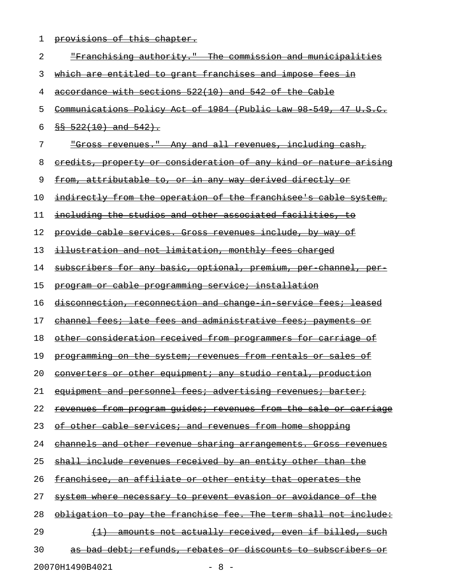1 provisions of this chapter.

| 2  | <u> "Franchising authority." The commission and municipalities</u>      |
|----|-------------------------------------------------------------------------|
| 3  | <u>which are entitled to grant franchises and impose fees in</u>        |
| 4  | accordance with sections 522(10) and 542 of the Cable                   |
| 5  | Communications Policy Act of 1984 (Public Law 98 549, 47 U.S.C.         |
| 6  | $$8 - 522(10)$ and $542$ .                                              |
| 7  | <u> "Gross revenues." Any and all revenues, including cash,</u>         |
| 8  | <u>eredits, property or consideration of any kind or nature arising</u> |
| 9  | <u>from, attributable to, or in any way derived directly or</u>         |
| 10 | <u>indirectly from the operation of the franchisee's cable system,</u>  |
| 11 | including the studios and other associated facilities, to               |
| 12 | provide cable services. Gross revenues include, by way of               |
| 13 | illustration and not limitation, monthly fees charged                   |
| 14 | subscribers for any basic, optional, premium, per channel, per          |
| 15 | program or cable programming service; installation                      |
| 16 | <u>disconnection, reconnection and change in service fees; leased</u>   |
| 17 | channel fees; late fees and administrative fees; payments or            |
| 18 | <u>other consideration received from programmers for carriage of</u>    |
| 19 | programming on the system; revenues from rentals or sales of            |
| 20 | converters or other equipment; any studio rental, production            |
| 21 | equipment and personnel fees; advertising revenues; barter;             |
| 22 | <u>revenues from program guides; revenues from the sale or carriage</u> |
| 23 | of other cable services; and revenues from home shopping                |
| 24 | channels and other revenue sharing arrangements. Gross revenues         |
| 25 | <u>shall include revenues received by an entity other than the</u>      |
| 26 | <u>franchisee, an affiliate or other entity that operates the</u>       |
| 27 | system where necessary to prevent evasion or avoidance of the           |
| 28 | obligation to pay the franchise fee. The term shall not include:        |
| 29 | amounts not actually received, even if billed, such                     |
| 30 | as bad debt; refunds, rebates or discounts to subscribers or            |
|    | 20070H1490B4021<br>$-8-$                                                |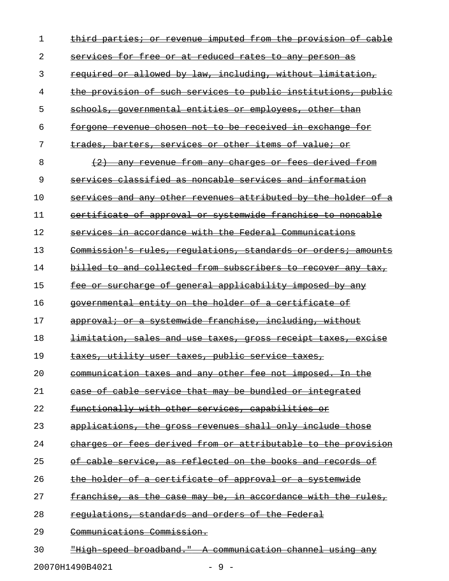| 1  | imputed from the provision of<br>third parties; or revenue<br><del>cab Le</del> |
|----|---------------------------------------------------------------------------------|
| 2  | services for free or at reduced rates to any person as                          |
| 3  | required or allowed by law, including, without limitation,                      |
| 4  | the provision of such services to public institutions, public                   |
| 5  | schools, governmental entities or employees, other<br><del>than</del>           |
| 6  | forgone revenue chosen not to be received in exchange<br>for                    |
| 7  | trades, barters, services or other items of value; or                           |
| 8  | any revenue from any charges or fees derived from                               |
| 9  | services classified as noncable services and information                        |
| 10 | services and any other revenues attributed by the holder of<br><del>a</del>     |
| 11 | certificate of approval or systemwide franchise to noncable                     |
| 12 | services in accordance with the Federal Communications                          |
| 13 | Commission's rules, requlations, standards or orders; amounts                   |
| 14 | billed to and collected from subscribers to recover any<br><del>tax,</del>      |
| 15 | fee or surcharge of general applicability imposed by any                        |
| 16 | governmental entity on the holder of a certificate of                           |
| 17 | approval; or a systemwide franchise, including, without                         |
| 18 | <u>limitation, sales and use taxes, gross receipt taxes, excise</u>             |
| 19 | taxes, utility user taxes, public service taxes,                                |
| 20 | communication taxes and any other fee not imposed. In the                       |
| 21 | case of cable service that may be bundled or integrated                         |
| 22 | functionally with other services, capabilities or                               |
| 23 | applications, the gross revenues shall only include those                       |
| 24 | charges or fees derived from or attributable to the provision                   |
| 25 | of cable service, as reflected on the books and records of                      |
| 26 | the holder of a certificate of approval or a systemwide                         |
| 27 | franchise, as the case may be, in accordance with the rules,                    |
| 28 | regulations, standards and orders of the Federal                                |
| 29 | Communications Commission.                                                      |
| 30 | "High speed broadband." A communication channel using any                       |

20070H1490B4021 - 9 -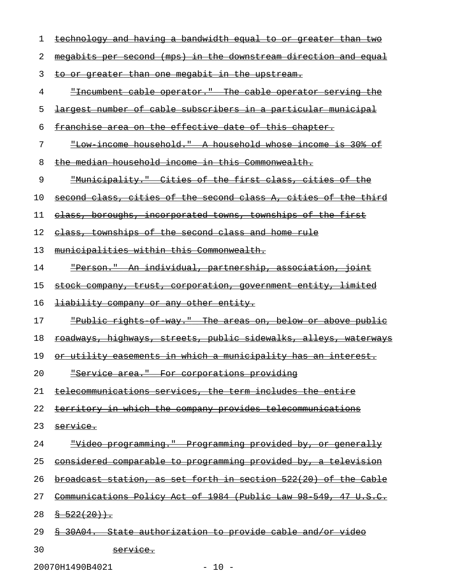| ı  | technology and having a bandwidth equal to or greater<br><del>than</del> |
|----|--------------------------------------------------------------------------|
| 2  | megabits per second (mps) in the downstream direction and equal          |
| 3  | to or greater than one megabit in the upstream.                          |
| 4  | <u>"Incumbent cable operator." The cable operator serving the</u>        |
| 5  | largest number of cable subscribers in a particular municipal            |
| 6  | franchise area on the effective date of this chapter.                    |
| 7  | <u> "Low income household." A household whose income is 30%</u><br>⊖±    |
| 8  | the median household income in this Commonwealth.                        |
| 9  | "Municipality." Cities of the first class, cities of the                 |
| 10 | second class, cities of the second class A, cities of the third          |
| 11 | class, boroughs, incorporated towns, townships of the first              |
| 12 | class, townships of the second class and home rule                       |
| 13 | municipalities within this Commonwealth.                                 |
| 14 | <u> "Person." An individual, partnership, association, joint</u>         |
| 15 | stock company, trust, corporation, government entity, limited            |
| 16 | <b>liability company or any other entity.</b>                            |
| 17 | "Public rights of way." The areas on, below or above public              |
| 18 | <u>roadways, highways, streets, public sidewalks, alleys, waterways</u>  |
| 19 | or utility easements in which a municipality has an interest.            |
| 20 |                                                                          |
|    | "Service area." For corporations providing                               |
| 21 | telecommunications services, the term includes the entire                |
| 22 | territory in which the company provides telecommunications               |
| 23 | service.                                                                 |
| 24 | <u> "Video programming." Programming provided by, or generally</u>       |
| 25 | considered comparable to programming provided by, a television           |
| 26 | broadcast station, as set forth in section 522(20) of the Cable          |
| 27 | Communications Policy Act of 1984 (Public Law 98 549, 47 U.S.C.          |
| 28 | $\frac{8}{9}$ 522(20)).                                                  |
| 29 | 30A04. State authorization to provide cable and/or video                 |

20070H1490B4021 - 10 -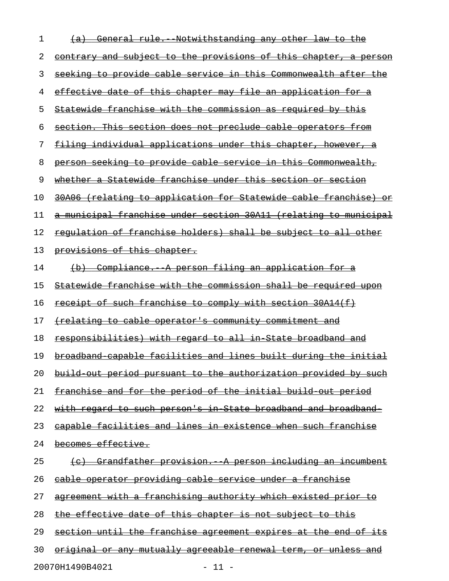| 1  | (a) General rule. Notwithstanding any other law to the                  |
|----|-------------------------------------------------------------------------|
| 2  | <u>contrary and subject to the provisions of this chapter, a person</u> |
| 3  | seeking to provide cable service in this Commonwealth after the         |
| 4  | effective date of this chapter may file an application for a            |
| 5  | Statewide franchise with the commission as required by this             |
| 6  | <u>section. This section does not preclude cable operators from</u>     |
| 7  | <u>filing individual applications under this chapter, however, a</u>    |
| 8  | person seeking to provide cable service in this Commonwealth,           |
| 9  | whether a Statewide franchise under this section or section             |
| 10 | 30A06 (relating to application for Statewide cable franchise) or        |
| 11 | a municipal franchise under section 30A11 (relating to municipal        |
| 12 | regulation of franchise holders) shall be subject to all other          |
| 13 | provisions of this chapter.                                             |
| 14 | (b) Compliance. A person filing an application for a                    |
| 15 | Statewide franchise with the commission shall be required upon          |
| 16 | receipt of such franchise to comply with section 30A14(f)               |
| 17 | <u>(relating to cable operator's community commitment and</u>           |
| 18 | responsibilities) with regard to all in State broadband and             |
| 19 | broadband capable facilities and lines built during the initial         |
| 20 | build out period pursuant to the authorization provided by such         |
| 21 | <u>franchise and for the period of the initial build out period</u>     |
| 22 | <u>with regard to such person's in State broadband and broadband-</u>   |
| 23 | capable facilities and lines in existence when such franchise           |
| 24 | becomes effective.                                                      |
| 25 | <u>(c) Grandfather provision. A person including an incumbent</u>       |
| 26 | cable operator providing cable service under a franchise                |
| 27 | <u>agreement with a franchising authority which existed prior to</u>    |
| 28 | <u>the effective date of this chapter is not subject to this </u>       |
| 29 | section until the franchise agreement expires at the end of its         |
| 30 | <u>original or any mutually agreeable renewal term, or unless and</u>   |
|    |                                                                         |

20070H1490B4021 - 11 -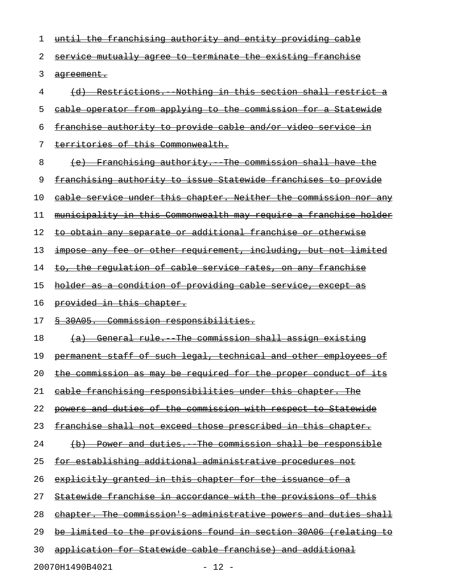| 1  | <u>until the franchising authority and entity providing cable</u>       |
|----|-------------------------------------------------------------------------|
| 2  | service mutually agree to terminate the existing franchise              |
| 3  | <del>aqreement.</del>                                                   |
| 4  | (d) Restrictions. Nothing in this section shall restrict a              |
| 5  | <u>eable operator from applying to the commission for a Statewide</u>   |
| 6  | franchise authority to provide cable and/or video service in            |
| 7  | territories of this Commonwealth.                                       |
| 8  | (e) Franchising authority. The commission shall have the                |
| 9  | franchising authority to issue Statewide franchises to provide          |
| 10 | cable service under this chapter. Neither the commission nor any        |
| 11 | <u>municipality in this Commonwealth may require a franchise holder</u> |
| 12 | to obtain any separate or additional franchise or otherwise             |
| 13 | impose any fee or other requirement, including, but not limited         |
| 14 | <u>to, the regulation of cable service rates, on any franchise</u>      |
| 15 | holder as a condition of providing cable service, except as             |
| 16 | provided in this chapter.                                               |
| 17 | § 30A05. Commission responsibilities.                                   |
| 18 | (a) General rule. The commission shall assign existing                  |
| 19 | permanent staff of such legal, technical and other employees of         |
| 20 | the commission as may be required for the proper conduct of its         |
| 21 | cable franchising responsibilities under this chapter. The              |
| 22 | powers and duties of the commission with respect to Statewide           |
| 23 | <u>franchise shall not exceed those prescribed in this chapter.</u>     |
| 24 | (b) Power and duties. The commission shall be responsible               |
| 25 | <u>for establishing additional administrative procedures not</u>        |
| 26 | explicitly granted in this chapter for the issuance of a                |
| 27 | <u>Statewide franchise in accordance with the provisions of this</u>    |
| 28 | chapter. The commission's administrative powers and duties shall        |
| 29 | be limited to the provisions found in section 30A06 (relating to        |
| 30 | application for Statewide cable franchise) and additional               |
|    |                                                                         |

20070H1490B4021 - 12 -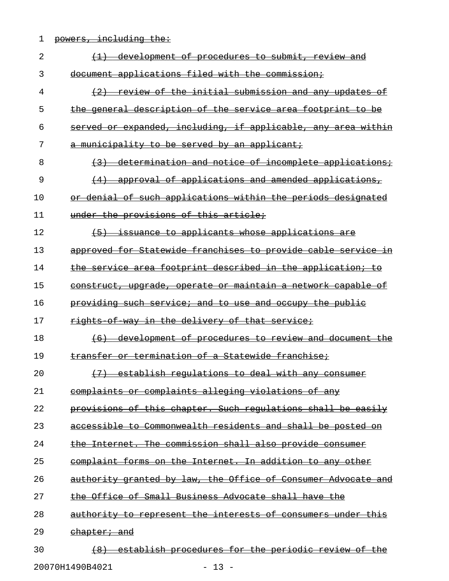1 powers, including the:

| 2  | development of procedures to submit, review and<br>$\left(1\right)$ |
|----|---------------------------------------------------------------------|
| 3  | document applications filed with the commission;                    |
| 4  | (2) review of the initial submission and any updates of             |
| 5  | the general description of the service area footprint to be         |
| 6  | served or expanded, including, if applicable, any area within       |
| 7  | a municipality to be served by an applicant;                        |
| 8  | (3) determination and notice of incomplete applications;            |
| 9  | (4) approval of applications and amended applications,              |
| 10 | or denial of such applications within the periods designated        |
| 11 | under the provisions of this article;                               |
| 12 | (5) issuance to applicants whose applications are                   |
| 13 | approved for Statewide franchises to provide cable service in       |
| 14 | the service area footprint described in the application; to         |
| 15 | construct, upgrade, operate or maintain a network capable of        |
| 16 | providing such service; and to use and occupy the public            |
| 17 | rights of way in the delivery of that service;                      |
| 18 | (6) development of procedures to review and document the            |
| 19 | transfer or termination of a Statewide franchise;                   |
| 20 | (7) establish regulations to deal with any consumer                 |
| 21 | complaints or complaints alleging violations of any                 |
| 22 | provisions of this chapter. Such regulations shall be easily        |
| 23 | accessible to Commonwealth residents and shall be posted on         |
| 24 | the Internet. The commission shall also provide consumer            |
| 25 | complaint forms on the Internet. In addition to any other           |
| 26 | authority granted by law, the Office of Consumer Advocate and       |
| 27 | the Office of Small Business Advocate shall have the                |
| 28 | authority to represent the interests of consumers under this        |
| 29 | <del>chapter; and</del>                                             |
| 30 | establish procedures for the periodic review of the                 |

20070H1490B4021 - 13 -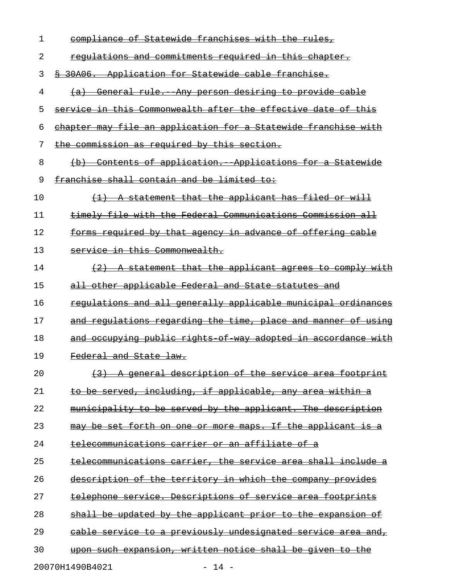| 1  | compliance of Statewide franchises with the rules,                        |
|----|---------------------------------------------------------------------------|
| 2  | regulations and commitments required in this chapter.                     |
| 3  | \$ 30A06. Application for Statewide cable franchise.                      |
| 4  | (a) General rule. Any person desiring to provide cable                    |
| 5  | service in this Commonwealth after the effective date of this             |
| 6  | chapter may file an application for a Statewide franchise with            |
| 7  | the commission as required by this section.                               |
| 8  | Contents of application. Applications for a Statewide                     |
| 9  | franchise shall contain and be limited to:                                |
| 10 | (1) A statement that the applicant has filed or will                      |
| 11 | timely file with the Federal Communications Commission all                |
| 12 | forms required by that agency in advance of offering cable                |
| 13 | service in this Commonwealth.                                             |
| 14 | (2) A statement that the applicant agrees to comply with                  |
| 15 | all other applicable Federal and State statutes and                       |
| 16 | requlations and all generally applicable municipal ordinances             |
| 17 | and regulations regarding the time, place and manner of using             |
| 18 | and occupying public rights of way adopted in accordance with             |
| 19 | Federal and State law.                                                    |
| 20 | <del>qeneral</del><br>description of the service area footprint           |
| 21 | to be served, including, if applicable, any area within a                 |
| 22 | to be served by the applicant. The description<br><del>municipality</del> |
| 23 | be set forth on one or more maps. If the applicant is a                   |
| 24 | telecommunications carrier or an affiliate of a                           |
| 25 | telecommunications carrier, the service area shall include a              |
| 26 | description of the territory in which the company provides                |
| 27 | telephone service. Descriptions of service area footprints                |
| 28 | shall be updated by the applicant prior to the expansion of               |
| 29 | cable service to a previously undesignated service area and,              |
| 30 | <u>upon such expansion, written notice shall be given to the </u>         |

20070H1490B4021 - 14 -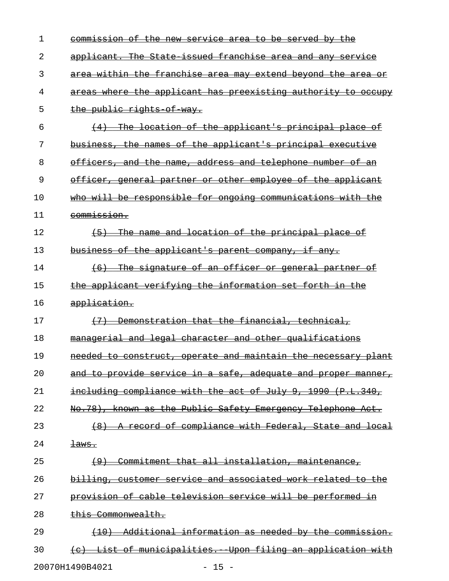| 1  | commission of the new service area to be served by the                |
|----|-----------------------------------------------------------------------|
| 2  | applicant. The State issued franchise area and any service            |
| 3  | area within the franchise area may extend beyond the area or          |
| 4  | areas where the applicant has preexisting authority to occupy         |
| 5  | the public rights of way.                                             |
| 6  | (4) The location of the applicant's principal place of                |
| 7  | business, the names of the applicant's principal executive            |
| 8  | officers, and the name, address and telephone number of an            |
| 9  | officer, general partner or other employee of the applicant           |
| 10 | who will be responsible for ongoing communications with the           |
| 11 | commission.                                                           |
| 12 | The name and location of the principal place of<br>$\left( -5\right)$ |
| 13 | business of the applicant's parent company, if any.                   |
| 14 | (6) The signature of an officer or general partner of                 |
| 15 | the applicant verifying the information set forth in the              |
| 16 | application.                                                          |
| 17 | (7) Demonstration that the financial, technical,                      |
| 18 | managerial and legal character and other qualifications               |
| 19 | needed to construct, operate and maintain the necessary plant         |
| 20 | and to provide service in a safe, adequate and proper manner,         |
| 21 | including compliance with the act of July 9, 1990 (P.L.340,           |
| 22 | No.78), known as the Public Safety Emergency Telephone Act.           |
| 23 | (8) A record of compliance with Federal, State and local              |
| 24 | <del>laws.</del>                                                      |
| 25 | (9) Commitment that all installation, maintenance,                    |
| 26 | billing, customer service and associated work related to the          |
| 27 | provision of cable television service will be performed in            |
| 28 | this Commonwealth.                                                    |
| 29 | (10) Additional information as needed by the commission.              |
| 30 | (c) List of municipalities. Upon filing an application with           |
|    | 20070H1490B4021<br>$-15 -$                                            |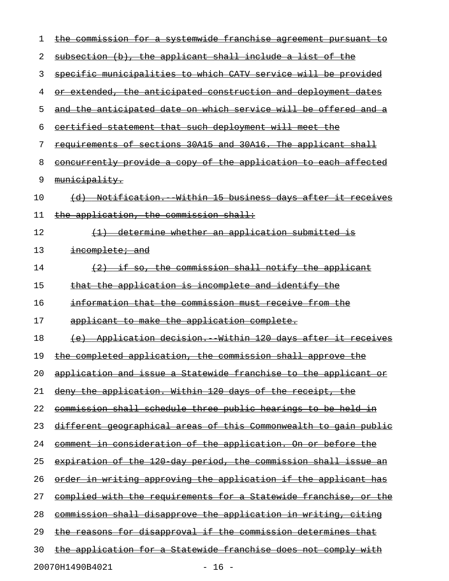| 1  | the commission for a systemwide franchise agreement pursuant to         |
|----|-------------------------------------------------------------------------|
| 2  | subsection (b), the applicant shall include a list of the               |
| 3  | specific municipalities to which CATV service will be provided          |
| 4  | or extended, the anticipated construction and deployment dates          |
| 5  | and the anticipated date on which service will be offered and a         |
| 6  | eertified statement that such deployment will meet the                  |
| 7  | requirements of sections 30A15 and 30A16. The applicant shall           |
| 8  | concurrently provide a copy of the application to each affected         |
| 9  | municipality.                                                           |
| 10 | (d) Notification. Within 15 business days after it receives             |
| 11 | the application, the commission shall:                                  |
| 12 | (1) determine whether an application submitted is                       |
| 13 | incomplete; and                                                         |
| 14 | $(2)$ if so, the commission shall notify the applicant                  |
| 15 | that the application is incomplete and identify the                     |
| 16 | information that the commission must receive from the                   |
| 17 | applicant to make the application complete.                             |
| 18 | (e) Application decision. Within 120 days after it receives             |
| 19 | the completed application, the commission shall approve the             |
| 20 | <u>application and issue a Statewide franchise to the applicant or</u>  |
| 21 | <u>deny the application. Within 120 days of the receipt, the </u>       |
| 22 | <u>commission shall schedule three public hearings to be held in</u>    |
| 23 | <u>different geographical areas of this Commonwealth to gain public</u> |
| 24 | comment in consideration of the application. On or before the           |
| 25 | expiration of the 120 day period, the commission shall issue an         |
| 26 | <u>order in writing approving the application if the applicant has </u> |
| 27 | <u>eomplied with the requirements for a Statewide franchise, or the</u> |
| 28 | commission shall disapprove the application in writing, citing          |
| 29 | the reasons for disapproval if the commission determines that           |
| 30 | the application for a Statewide franchise does not comply with          |
|    | 20070H1490B4021<br>$-16 -$                                              |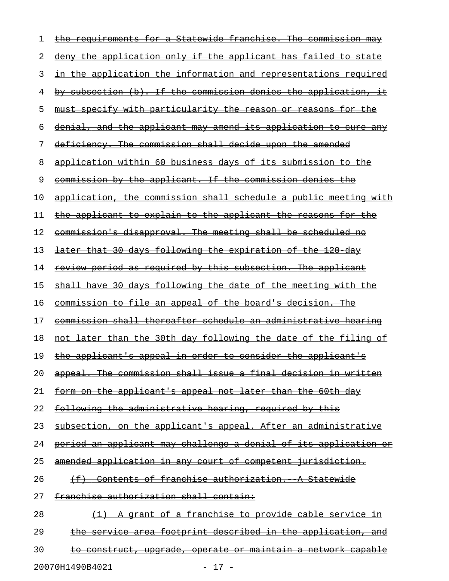| 1  | the requirements for a Statewide franchise. The commission may          |
|----|-------------------------------------------------------------------------|
| 2  | deny the application only if the applicant has failed to state          |
| 3  | in the application the information and representations required         |
| 4  | by subsection (b). If the commission denies the application, it         |
| 5  | must specify with particularity the reason or reasons for the           |
| 6  | denial, and the applicant may amend its application to cure any         |
| 7  | deficiency. The commission shall decide upon the amended                |
| 8  | application within 60 business days of its submission to the            |
| 9  | commission by the applicant. If the commission denies the               |
| 10 | application, the commission shall schedule a public meeting with        |
| 11 | the applicant to explain to the applicant the reasons for the           |
| 12 | commission's disapproval. The meeting shall be scheduled no             |
| 13 | later that 30 days following the expiration of the 120 day              |
| 14 | <u>review period as required by this subsection. The applicant</u>      |
| 15 | shall have 30 days following the date of the meeting with the           |
| 16 | commission to file an appeal of the board's decision. The               |
| 17 | commission shall thereafter schedule an administrative hearing          |
| 18 | not later than the 30th day following the date of the filing of         |
| 19 | <u>the applicant's appeal in order to consider the applicant's</u>      |
| 20 | appeal. The commission shall issue a final decision in written          |
| 21 | form on the applicant's appeal not later than the 60th day              |
| 22 | following the administrative hearing, required by this                  |
| 23 | subsection, on the applicant's appeal. After an administrative          |
| 24 | <u>period an applicant may challenge a denial of its application or</u> |
| 25 | amended application in any court of competent jurisdiction.             |
| 26 | (f) Contents of franchise authorization. A Statewide                    |
| 27 | franchise authorization shall contain:                                  |
| 28 | (1) A grant of a franchise to provide cable service in                  |
| 29 | the service area footprint described in the application, and            |
| 30 | <u>to construct, upgrade, operate or maintain a network capable</u>     |
|    |                                                                         |

20070H1490B4021 - 17 -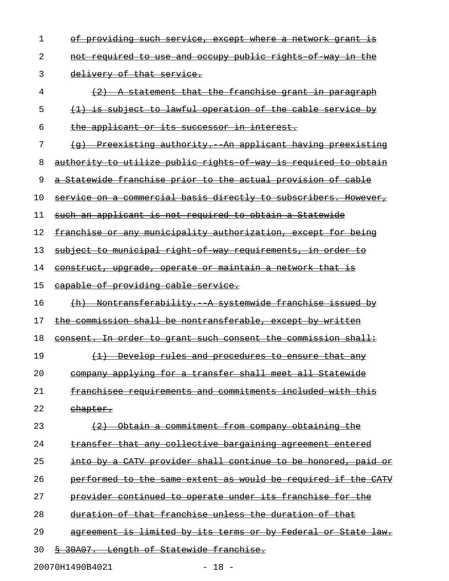| 1  | <u>providing such service, except where a network grant is</u>               |
|----|------------------------------------------------------------------------------|
| 2  | not required to use and occupy public rights of way in the                   |
| 3  | delivery of that service.                                                    |
| 4  | A statement that the franchise grant in paragraph                            |
| 5  | (1) is subject to lawful operation of the cable service by                   |
| 6  | the applicant or its successor in interest.                                  |
| 7  | Preexisting authority. An applicant having preexisting                       |
| 8  | authority to utilize public rights of way is required to obtain              |
| 9  | a Statewide franchise prior to the actual provision of cable                 |
| 10 | service on a commercial basis directly to subscribers. However,              |
| 11 | such an applicant is not required to obtain a Statewide                      |
| 12 | franchise or any municipality authorization, except for being                |
| 13 | subject to municipal right of way requirements, in order to                  |
| 14 | construct, upgrade, operate or maintain a network that is                    |
| 15 | eapable of providing cable service.                                          |
| 16 | (h) Nontransferability. A systemwide franchise issued by                     |
| 17 | the commission shall be nontransferable, except by written                   |
| 18 | consent. In order to grant such consent the commission shall:                |
| 19 | (1) Develop rules and procedures to ensure that any                          |
| 20 | company applying for a transfer shall meet all Statewide                     |
| 21 | franchisee requirements and commitments included with this                   |
| 22 | <del>chapter.</del>                                                          |
| 23 | Obtain a commitment from company obtaining the<br>$\left(\frac{2}{2}\right)$ |
| 24 | transfer that any collective bargaining agreement entered                    |
| 25 | into by a CATV provider shall continue to be honored, paid or                |
| 26 | performed to the same extent as would be required if the CATV                |
| 27 | provider continued to operate under its franchise for the                    |
| 28 | duration of that franchise unless the duration of that                       |
| 29 | agreement is limited by its terms or by Federal or State law.                |
| 30 | § 30A07. Length of Statewide franchise.                                      |
|    |                                                                              |

20070H1490B4021 - 18 -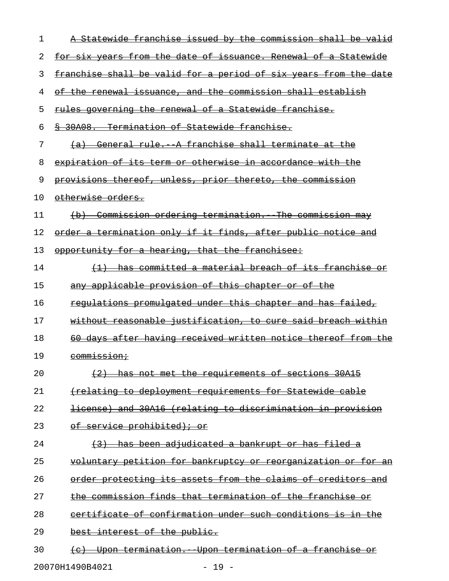| 1  | Statewide franchise issued by the commission shall be valid                  |
|----|------------------------------------------------------------------------------|
| 2  | for six years from the date of issuance. Renewal of a Statewide              |
| 3  | franchise shall be valid for a period of six years from the date             |
| 4  | of the renewal issuance, and the commission shall establish                  |
| 5  | rules governing the renewal of a Statewide franchise.                        |
| 6  | § 30A08. Termination of Statewide franchise.                                 |
| 7  | General rule. A franchise shall terminate at the<br><del>(a)</del>           |
| 8  | expiration of its term or otherwise in accordance with the                   |
| 9  | provisions thereof, unless, prior thereto, the commission                    |
| 10 | otherwise orders.                                                            |
| 11 | <u>Commission ordering termination. The commission may</u><br>$\overline{a}$ |
| 12 | order a termination only if it finds, after public notice and                |
| 13 | opportunity for a hearing, that the franchisee:                              |
| 14 | has committed a material breach of its franchise or                          |
| 15 | any applicable provision of this chapter or of the                           |
| 16 | requlations promulgated under this chapter and has failed,                   |
| 17 | without reasonable justification, to cure said breach within                 |
| 18 | 60 days after having received written notice thereof from the                |
| 19 | commission;                                                                  |
| 20 | (2) has not met the requirements of sections 30A15                           |
| 21 | <u>(relating to deployment requirements for Statewide cable</u>              |
| 22 | license) and 30A16 (relating to discrimination in provision                  |
| 23 | of service prohibited); or                                                   |
| 24 | (3) has been adjudicated a bankrupt or has filed a                           |
| 25 | <u>voluntary petition for bankruptcy or reorganization or for an</u>         |
| 26 | order protecting its assets from the claims of creditors and                 |
| 27 | the commission finds that termination of the franchise or                    |
| 28 | certificate of confirmation under such conditions is in the                  |
| 29 | best interest of the public.                                                 |
| 30 | (c) Upon termination. Upon termination of a franchise or                     |
|    | 20070H1490B4021<br>$-19 -$                                                   |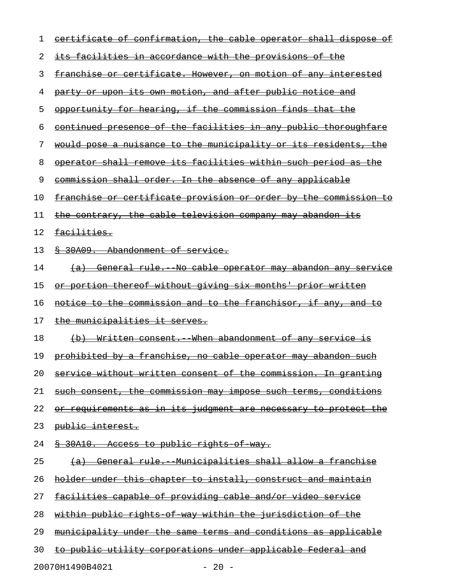| 1  | <u>eertificate of confirmation, the cable operator shall dispose of</u> |
|----|-------------------------------------------------------------------------|
| 2  | <u>its facilities in accordance with the provisions of the </u>         |
| 3  | <u>franchise or certificate. However, on motion of any interested</u>   |
| 4  | <u>party or upon its own motion, and after public notice and</u>        |
| 5  | opportunity for hearing, if the commission finds that the               |
| 6  | continued presence of the facilities in any public thoroughfare         |
| 7  | would pose a nuisance to the municipality or its residents, the         |
| 8  | operator shall remove its facilities within such period as the          |
| 9  | commission shall order. In the absence of any applicable                |
| 10 | franchise or certificate provision or order by the commission to        |
| 11 | <u>the contrary, the cable television company may abandon its</u>       |
| 12 | <del>facilities.</del>                                                  |
| 13 | § 30A09. Abandonment of service.                                        |
| 14 | <u>(a) General rule. No cable operator may abandon any service</u>      |
| 15 | <u>or portion thereof without giving six months' prior written</u>      |
| 16 | <u>notice to the commission and to the franchisor, if any, and to</u>   |
| 17 | <u>the municipalities it serves.</u>                                    |
| 18 | (b) Written consent. When abandonment of any service is                 |
| 19 | prohibited by a franchise, no cable operator may abandon such           |
| 20 | service without written consent of the commission. In granting          |
| 21 | such consent, the commission may impose such terms, conditions          |
| 22 | or requirements as in its judgment are necessary to protect the         |
| 23 | public interest.                                                        |
| 24 | <u>&amp; 30A10. Access to public rights of way.</u>                     |
| 25 | (a) General rule. Municipalities shall allow a franchise                |
| 26 | holder under this chapter to install, construct and maintain            |
| 27 | facilities capable of providing cable and/or video service              |
| 28 | within public rights of way within the jurisdiction of the              |
| 29 | municipality under the same terms and conditions as applicable          |
| 30 | to public utility corporations under applicable Federal and             |
|    | 20070H1490B4021<br>$-20 -$                                              |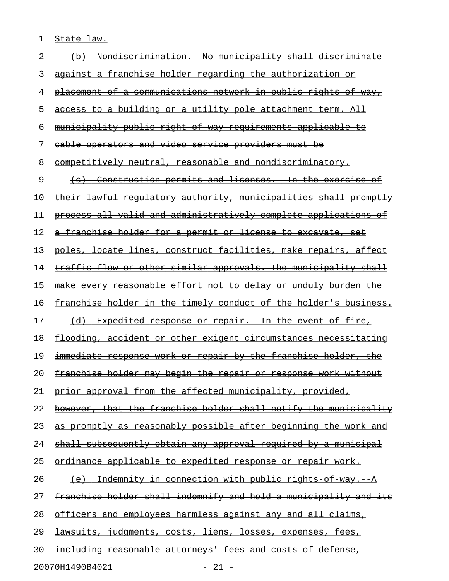1 State law.

| 2  | <del>Nondiscrimination.</del><br><del>municipal</del><br>ser                                            |
|----|---------------------------------------------------------------------------------------------------------|
| 3  | holder regarding the authorization or<br><del>aqainst a franchise</del>                                 |
| 4  | <u>placement of a communications network in public rights</u><br>-o£–<br><del>way,</del>                |
| 5  | to a building or a utility pole attachment<br><del>term. All</del><br><del>access-</del>                |
| 6  | municipality public right of<br>way requirements applicable<br>€o                                       |
| 7  | cable operators and video service providers must be                                                     |
| 8  | competitively neutral, reasonable and nondiscriminatory.                                                |
| 9  | Construction permits and licenses. In the<br>⊖±<br><del>(e)</del><br><del>exercise</del>                |
| 10 | lawful regulatory authority, municipalities<br><u>-shall</u><br><del>promptly</del><br><del>their</del> |
| 11 | process all valid and administratively complete applications of                                         |
| 12 | franchise holder for a permit or license to excavate, set<br><del>a -</del>                             |
| 13 | poles, locate lines, construct facilities, make repairs, affect                                         |
| 14 | flow or other similar approvals. The municipality shall<br><del>traffic</del>                           |
| 15 | r reasonable effort not to delay or unduly burden the<br><del>make every</del>                          |
| 16 | in the timely conduct of the holder's business.<br><del>franchise holder-</del>                         |
| 17 | <del>fire,</del><br><u>Expedited response or repair. In the event of </u><br>$\overline{a}$             |
| 18 | <u>flooding, accident or other exigent</u><br><u>circumstances necessitating</u>                        |
| 19 | work or repair by the franchise holder, the<br><del>immediate</del><br><del>response</del>              |
| 20 | franchise holder may begin the repair or response<br><del>work without</del>                            |
| 21 | prior approval from the affected municipality, provided,                                                |
| 22 | however, that the franchise holder shall notify the municipality                                        |
| 23 | as promptly as reasonably possible after beginning the work and                                         |
| 24 | shall subsequently obtain any approval required by a municipal                                          |
| 25 | <u>ordinance applicable to expedited response or repair work.</u>                                       |
| 26 | <u> Indemnity in connection with public rights of way. A</u>                                            |
| 27 | franchise holder shall indemnify and hold a municipality and its                                        |
| 28 | officers and employees harmless against any and all claims,                                             |
| 29 | <del>lawsuits, judgments, costs, liens, losses, expenses, fees,</del>                                   |
| 30 | including reasonable attorneys' fees and costs of defense,                                              |
|    | 20070H1490B4021<br>$-21 -$                                                                              |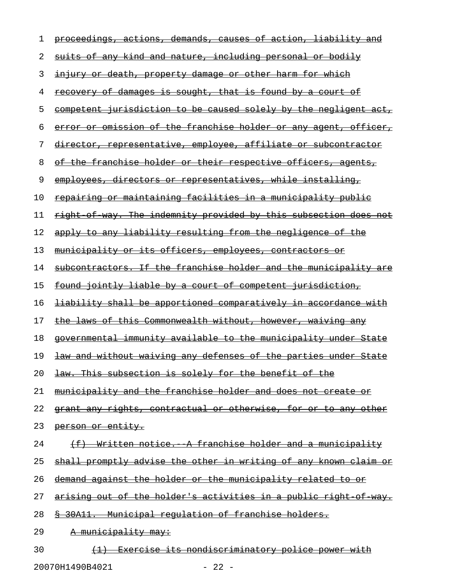| 1  | proceedings, actions, demands, causes of action, liability and         |
|----|------------------------------------------------------------------------|
| 2  | suits of any kind and nature, including personal or bodily             |
| 3  | <u>injury or death, property damage or other harm for which</u>        |
| 4  | <u>recovery of damages is sought, that is found by a court of</u>      |
| 5  | competent jurisdiction to be caused solely by the negligent act,       |
| 6  | error or omission of the franchise holder or any agent, officer,       |
| 7  | director, representative, employee, affiliate or subcontractor         |
| 8  | of the franchise holder or their respective officers, agents,          |
| 9  | employees, directors or representatives, while installing,             |
| 10 | <u>repairing or maintaining facilities in a municipality public</u>    |
| 11 | right of way. The indemnity provided by this subsection does not       |
| 12 | apply to any liability resulting from the negligence of the            |
| 13 | municipality or its officers, employees, contractors or                |
| 14 | subcontractors. If the franchise holder and the municipality are       |
| 15 | found jointly liable by a court of competent jurisdiction,             |
| 16 | <u>liability shall be apportioned comparatively in accordance with</u> |
| 17 | the laws of this Commonwealth without, however, waiving any            |
| 18 | governmental immunity available to the municipality under State        |
| 19 | law and without waiving any defenses of the parties under State        |
| 20 | law. This subsection is solely for the benefit of the                  |
| 21 | <u>municipality and the franchise holder and does not create or</u>    |
| 22 | grant any rights, contractual or otherwise, for or to any other        |
| 23 | person or entity.                                                      |
| 24 | (f) Written notice. A franchise holder and a municipality              |
| 25 | shall promptly advise the other in writing of any known claim or       |
| 26 | demand against the holder or the municipality related to or            |
| 27 | arising out of the holder's activities in a public right of way.       |
| 28 | \$ 30A11. Municipal regulation of franchise holders.                   |
| 29 | <del>A municipality may:</del>                                         |
| 30 | (1) Exercise its nondiscriminatory police power with                   |

20070H1490B4021 - 22 -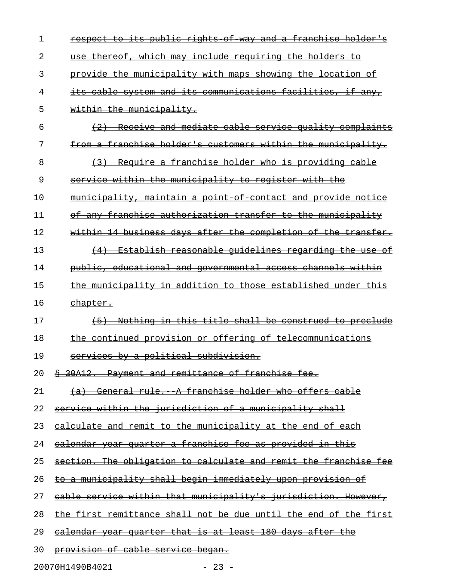| respect to its public rights of way and a franchise holder's           |
|------------------------------------------------------------------------|
| use thereof, which may include requiring the holders to                |
| provide the municipality with maps showing the location of             |
| its cable system and its communications facilities, if any,            |
| within the municipality.                                               |
| (2) Receive and mediate cable service quality complaints               |
| from a franchise holder's customers within the municipality.           |
| (3) Require a franchise holder who is providing cable                  |
| service within the municipality to register with the                   |
| municipality, maintain a point of contact and provide notice           |
| of any franchise authorization transfer to the municipality            |
| within 14 business days after the completion of the transfer.          |
| (4) Establish reasonable quidelines regarding the use of               |
| public, educational and governmental access channels within            |
| the municipality in addition to those established under this           |
| <del>chapter.</del>                                                    |
|                                                                        |
| Nothing in this title shall be construed to preclude<br>$+5$           |
| the continued provision or offering of telecommunications              |
| services by a political subdivision.                                   |
| \$ 30A12. Payment and remittance of franchise fee.                     |
| (a) General rule. A franchise holder who offers cable                  |
| service within the jurisdiction of a municipality shall                |
| <u>calculate and remit to the municipality at the end of each</u>      |
| <u>ealendar year quarter a franchise fee as provided in this</u>       |
| section. The obligation to calculate and remit the franchise fee       |
| to a municipality shall begin immediately upon provision of            |
| <u>cable service within that municipality's jurisdiction. However,</u> |
| the first remittance shall not be due until the end of the first       |
| <u>ealendar year quarter that is at least 180 days after the </u>      |
|                                                                        |

20070H1490B4021 - 23 -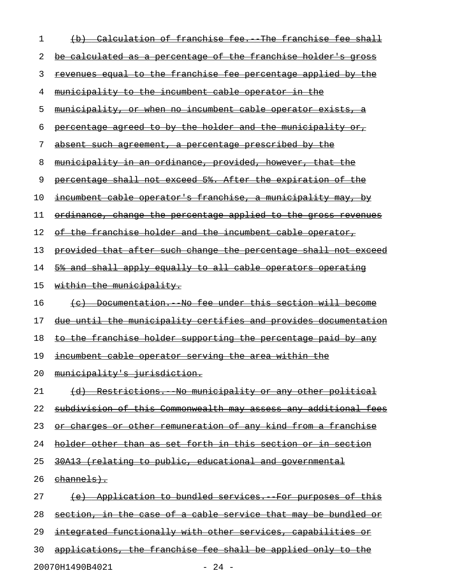| 1  | Calculation of franchise fee. The franchise fee shall<br><del>(d)</del> |
|----|-------------------------------------------------------------------------|
| 2  | be calculated as a percentage of the franchise holder's gross           |
| 3  | revenues equal to the franchise fee percentage applied by the           |
| 4  | municipality to the incumbent cable operator in the                     |
| 5  | municipality, or when no incumbent cable operator exists, a             |
| 6  | percentage agreed to by the holder and the municipality or,             |
| 7  | absent such agreement, a percentage prescribed by the                   |
| 8  | <u>municipality in an ordinance, provided, however, that the </u>       |
| 9  | percentage shall not exceed 5%. After the expiration of the             |
| 10 | incumbent cable operator's franchise, a municipality may, by            |
| 11 | ordinance, change the percentage applied to the gross revenues          |
| 12 | of the franchise holder and the incumbent cable operator,               |
| 13 | provided that after such change the percentage shall not exceed         |
| 14 | 5% and shall apply equally to all cable operators operating             |
| 15 | within the municipality.                                                |
| 16 | Documentation. No fee under this section will become<br>$\leftarrow$    |
| 17 | due until the municipality certifies and provides documentation         |
| 18 | to the franchise holder supporting the percentage paid by any           |
| 19 | incumbent cable operator serving the area within the                    |
| 20 | municipality's jurisdiction.                                            |
| 21 | (d) Restrictions. No municipality or any other political                |
| 22 | subdivision of this Commonwealth may assess any additional fees         |
| 23 | or charges or other remuneration of any kind from a franchise           |
| 24 | holder other than as set forth in this section or in section            |
| 25 | 30A13 (relating to public, educational and governmental                 |
| 26 | <del>channels).</del>                                                   |
| 27 | (e) Application to bundled services. For purposes of this               |
| 28 | section, in the case of a cable service that may be bundled or          |
| 29 | integrated functionally with other services, capabilities or            |
| 30 | applications, the franchise fee shall be applied only to the            |

20070H1490B4021 - 24 -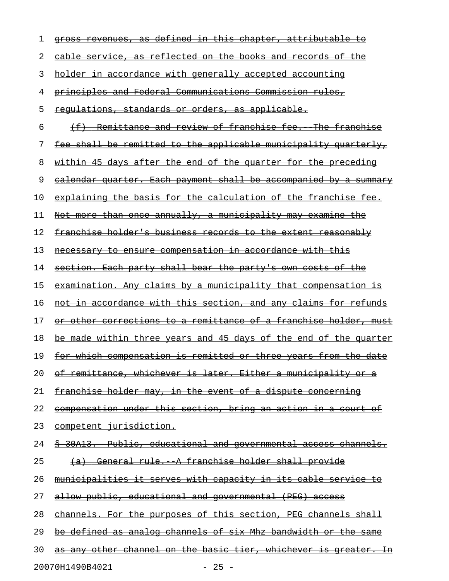| ı  | defined<br><del>in this chapter,</del><br><del>attributable</del><br><del>аs</del><br>ŧθ<br><del>aross</del> |
|----|--------------------------------------------------------------------------------------------------------------|
| 2  | reflected on the books and<br><del>o£</del><br><del>cable service.</del><br><del>records</del><br>-as        |
| 3  | holder in accordance with generally accepted accounting                                                      |
| 4  | principles and Federal Communications Commission rules,                                                      |
| 5  | <u>regulations, standards or orders, as applicable.</u>                                                      |
| 6  | Remittance and review of franchise fee.<br>$\leftarrow$<br>The franchise                                     |
| 7  | fee shall be remitted to the applicable municipality quarterly,                                              |
| 8  | within 45 days after the end of the quarter for the preceding                                                |
| 9  | calendar quarter. Each payment shall be accompanied by<br><del>a summary</del>                               |
| 10 | explaining the basis for the calculation of the franchise fee.                                               |
| 11 | Not more than once annually, a municipality may examine the                                                  |
| 12 | franchise holder's business records to the extent reasonably                                                 |
| 13 | necessary to ensure compensation in accordance with this                                                     |
| 14 | section. Each party shall bear the party's own costs of the                                                  |
| 15 | examination. Any claims by a municipality that compensation is                                               |
| 16 | <u>not in accordance with this section, and any claims for refunds</u>                                       |
| 17 | <u>or other corrections to a remittance of a franchise holder, must</u>                                      |
| 18 | be made within three years and 45 days of the end of the quarter                                             |
| 19 | for which compensation is remitted or three years from the date                                              |
| 20 | <u>of remittance, whichever is later. Either a municipality or a</u>                                         |
| 21 | <u>franchise holder may, in the event of a dispute concerning</u>                                            |
| 22 | compensation under this section, bring an action in a court of                                               |
| 23 | competent jurisdiction.                                                                                      |
| 24 | § 30A13. Public, educational and governmental access channels.                                               |
| 25 | <u>General rule. A franchise holder shall provide</u>                                                        |
| 26 | <u>municipalities it serves with capacity in its cable service to</u>                                        |
| 27 | allow public, educational and governmental (PEG) access                                                      |
| 28 | channels. For the purposes of this section, PEG channels shall                                               |
| 29 | be defined as analog channels of six Mhz bandwidth or the same                                               |
| 30 | as any other channel on the basic tier, whichever is greater. In                                             |
|    |                                                                                                              |

20070H1490B4021 - 25 -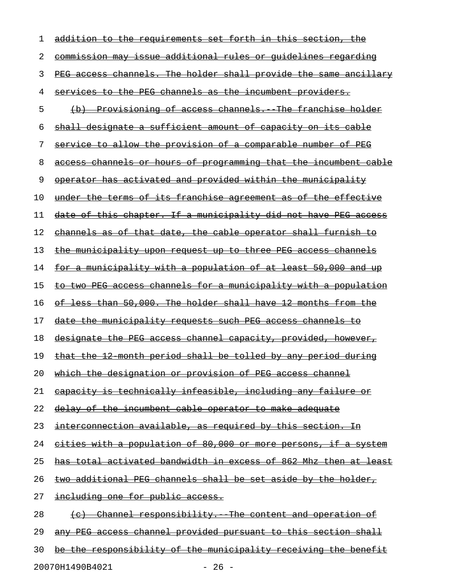| 1  | addition to the requirements set forth in this section, the           |
|----|-----------------------------------------------------------------------|
| 2  | <u>commission may issue additional rules or quidelines regarding</u>  |
| 3  | PEG access channels. The holder shall provide the same ancillary      |
| 4  | services to the PEG channels as the incumbent providers.              |
| 5  | (b) Provisioning of access channels. The franchise holder             |
| 6  | shall designate a sufficient amount of capacity on its cable          |
| 7  | service to allow the provision of a comparable number of PEG          |
| 8  | access channels or hours of programming that the incumbent cable      |
| 9  | operator has activated and provided within the municipality           |
| 10 | under the terms of its franchise agreement as of the effective        |
| 11 | date of this chapter. If a municipality did not have PEG access       |
| 12 | channels as of that date, the cable operator shall furnish to         |
| 13 | the municipality upon request up to three PEG access channels         |
| 14 | <u>for a municipality with a population of at least 50,000 and up</u> |
| 15 | to two PEG access channels for a municipality with a population       |
| 16 | of less than 50,000. The holder shall have 12 months from the         |
| 17 | date the municipality requests such PEG access channels to            |
| 18 | designate the PEG access channel capacity, provided, however,         |
| 19 | that the 12 month period shall be tolled by any period during         |
| 20 | which the designation or provision of PEG access channel              |
| 21 | <u>eapacity is technically infeasible, including any failure or</u>   |
| 22 | delay of the incumbent cable operator to make adequate                |
| 23 | interconnection available, as required by this section. In            |
| 24 | cities with a population of 80,000 or more persons, if a system       |
| 25 | has total activated bandwidth in excess of 862 Mhz then at least      |
| 26 | two additional PEG channels shall be set aside by the holder,         |
| 27 | including one for public access.                                      |
| 28 | (c) Channel responsibility. The content and operation of              |
| 29 | <u>any PEG access channel provided pursuant to this section shall</u> |
| 30 | be the responsibility of the municipality receiving the benefit       |
|    |                                                                       |

20070H1490B4021 - 26 -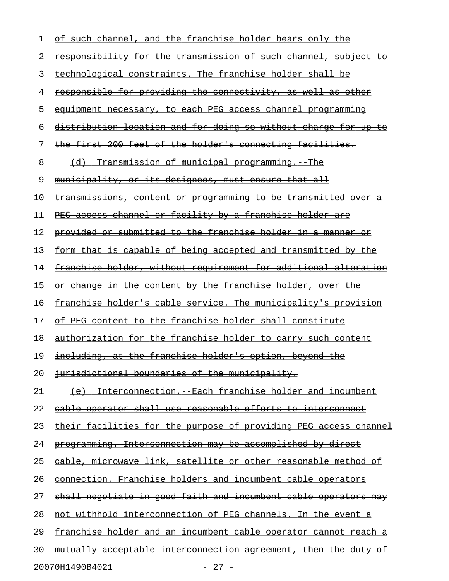| 1  | of such channel, and the franchise holder bears only the                |
|----|-------------------------------------------------------------------------|
| 2  | <u>responsibility for the transmission of such channel, subject to</u>  |
| 3  | technological constraints. The franchise holder shall be                |
| 4  | <u>responsible for providing the connectivity, as well as other</u>     |
| 5  | equipment necessary, to each PEG access channel programming             |
| 6  | distribution location and for doing so without charge for up to         |
| 7  | the first 200 feet of the holder's connecting facilities.               |
| 8  | (d) Transmission of municipal programming. The                          |
| 9  | municipality, or its designees, must ensure that all                    |
| 10 | <u>transmissions, content or programming to be transmitted over a</u>   |
| 11 | PEG access channel or facility by a franchise holder are                |
| 12 | <u>provided or submitted to the franchise holder in a manner or</u>     |
| 13 | form that is capable of being accepted and transmitted by the           |
| 14 | <u>franchise holder, without requirement for additional alteration</u>  |
| 15 | <u>or change in the content by the franchise holder, over the</u>       |
| 16 | <u>franchise holder's cable service. The municipality's provision</u>   |
| 17 | of PEG content to the franchise holder shall constitute                 |
| 18 | authorization for the franchise holder to carry such content            |
| 19 | including, at the franchise holder's option, beyond the                 |
| 20 | jurisdictional boundaries of the municipality.                          |
| 21 | <u>(e) Interconnection. Each franchise holder and incumbent</u>         |
| 22 | <u>cable operator shall use reasonable efforts to interconnect</u>      |
| 23 | <u>their facilities for the purpose of providing PEG access channel</u> |
| 24 | programming. Interconnection may be accomplished by direct              |
| 25 | <u>eable, microwave link, satellite or other reasonable method of</u>   |
| 26 | <u>connection. Franchise holders and incumbent cable operators</u>      |
| 27 | shall negotiate in good faith and incumbent cable operators may         |
| 28 | <u>not withhold interconnection of PEG channels. In the event a</u>     |
| 29 | <u>franchise holder and an incumbent cable operator cannot reach a</u>  |
| 30 | <u>mutually acceptable interconnection agreement, then the duty of</u>  |
|    | 20070H1490B4021<br>$-27 -$                                              |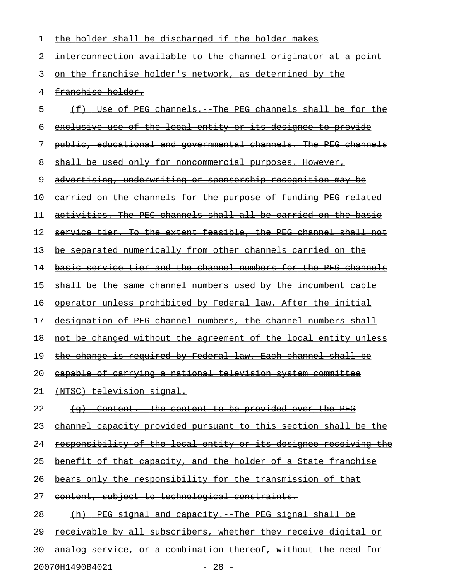| 1  | the holder shall be discharged if the holder makes                     |
|----|------------------------------------------------------------------------|
| 2  | interconnection available to the channel originator at a point         |
| 3  | on the franchise holder's network, as determined by the                |
| 4  | franchise holder.                                                      |
| 5  | (f) Use of PEG channels. The PEG channels shall be for the             |
| 6  | exclusive use of the local entity or its designee to provide           |
| 7  | public, educational and governmental channels. The PEG channels        |
| 8  | shall be used only for noncommercial purposes. However,                |
| 9  | <u>advertising, underwriting or sponsorship recognition may be</u>     |
| 10 | carried on the channels for the purpose of funding PEG related         |
| 11 | activities. The PEG channels shall all be carried on the basic         |
| 12 | service tier. To the extent feasible, the PEG channel shall not        |
| 13 | be separated numerically from other channels carried on the            |
| 14 | <u>basic service tier and the channel numbers for the PEG channels</u> |
| 15 | shall be the same channel numbers used by the incumbent cable          |
| 16 | operator unless prohibited by Federal law. After the initial           |
| 17 | designation of PEG channel numbers, the channel numbers shall          |
| 18 | not be changed without the agreement of the local entity unless        |
| 19 | the change is required by Federal law. Each channel shall be           |
| 20 | capable of carrying a national television system committee             |
| 21 | <del>(NTSC) television signal.</del>                                   |
| 22 | (g) Content. The content to be provided over the PEG                   |
| 23 | channel capacity provided pursuant to this section shall be the        |
| 24 | responsibility of the local entity or its designee receiving the       |
| 25 | benefit of that capacity, and the holder of a State franchise          |
| 26 | bears only the responsibility for the transmission of that             |
| 27 | content, subject to technological constraints.                         |
| 28 | PEG signal and capacity. The PEG signal shall be<br>$+h$               |
| 29 | receivable by all subscribers, whether they receive digital or         |
| 30 | analog service, or a combination thereof, without the need for         |
|    | 20070H1490B4021<br>$-28 -$                                             |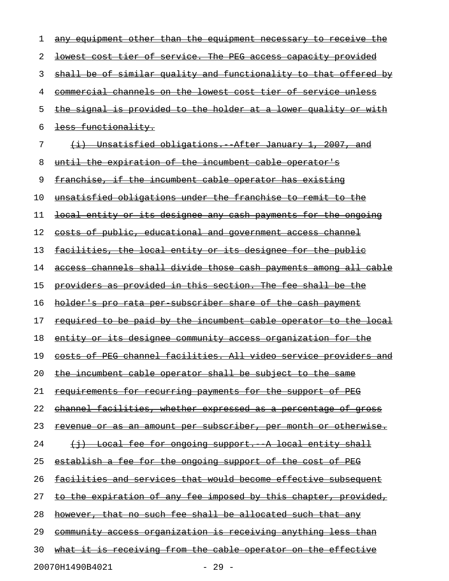| 1  | any equipment other than the equipment necessary to receive the         |
|----|-------------------------------------------------------------------------|
| 2  | lowest cost tier of service. The PEG access capacity provided           |
| 3  | shall be of similar quality and functionality to that offered by        |
| 4  | commercial channels on the lowest cost tier of service unless           |
| 5  | <u>the signal is provided to the holder at a lower quality or with </u> |
| 6  | less functionality.                                                     |
| 7  | (i) Unsatisfied obligations. After January 1, 2007, and                 |
| 8  | until the expiration of the incumbent cable operator's                  |
| 9  | franchise, if the incumbent cable operator has existing                 |
| 10 | unsatisfied obligations under the franchise to remit to the             |
| 11 | local entity or its designee any cash payments for the ongoing          |
| 12 | costs of public, educational and government access channel              |
| 13 | <u>facilities, the local entity or its designee for the public</u>      |
| 14 | access channels shall divide those cash payments among all cable        |
| 15 | providers as provided in this section. The fee shall be the             |
| 16 | holder's pro rata per subscriber share of the cash payment              |
| 17 | <u>required to be paid by the incumbent cable operator to the local</u> |
| 18 | <u>entity or its designee community access organization for the</u>     |
| 19 | costs of PEG channel facilities. All video service providers and        |
| 20 | the incumbent cable operator shall be subject to the same               |
| 21 | <u>requirements for recurring payments for the support of PEG</u>       |
| 22 | <u>channel facilities, whether expressed as a percentage of gross</u>   |
| 23 | <u>revenue or as an amount per subscriber, per month or otherwise.</u>  |
| 24 | (i) Local fee for ongoing support. A local entity shall                 |
| 25 | <u>establish a fee for the ongoing support of the cost of PEG</u>       |
| 26 | <u>facilities and services that would become effective subsequent</u>   |
| 27 | to the expiration of any fee imposed by this chapter, provided,         |
| 28 | however, that no such fee shall be allocated such that any              |
| 29 | <u>community access organization is receiving anything less than</u>    |
| 30 | what it is receiving from the cable operator on the effective           |
|    | 20070H1490B4021<br>$-29 -$                                              |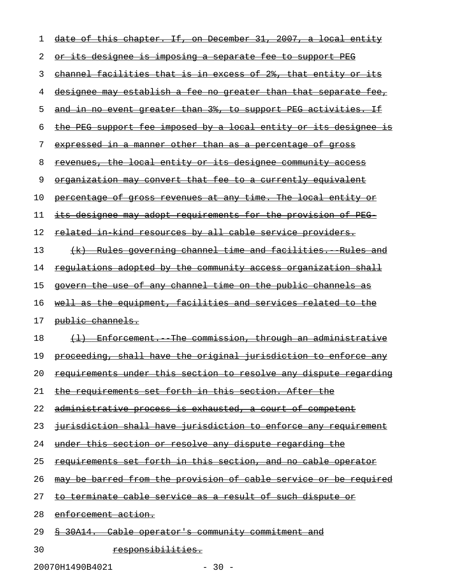| 1  | $-31,$<br><del>If, on December</del><br>2007,<br><del>local</del><br><del>this</del><br><del>chapter.</del><br>a |
|----|------------------------------------------------------------------------------------------------------------------|
| 2  | <u>its designee is imposing a separate fee to support PEG</u><br>ΘF                                              |
| 3  | channel facilities that is in excess of 2%, that entity or its                                                   |
| 4  | designee may establish a fee no greater than that separate fee,                                                  |
| 5  | and in no event greater than 3%, to support PEG activities. If                                                   |
| 6  | PEG support fee imposed by a local entity or<br><del>its designee</del><br>ŦЗ                                    |
| 7  | expressed in a manner other than as a percentage of gross                                                        |
| 8  | revenues, the local entity or its designee community access                                                      |
| 9  | organization may convert that fee to a currently equivalent                                                      |
| 10 | percentage of gross revenues at any time. The local entity or                                                    |
| 11 | designee may adopt requirements for the provision of PEG-                                                        |
| 12 | related in kind resources by all cable service providers.                                                        |
| 13 | <u>-Rules governing channel time and facilities.  Pules and</u><br>$\left(\frac{1}{2}x\right)$                   |
| 14 | requlations adopted by the community access organization shall                                                   |
| 15 | govern the use of any channel time on the public channels as                                                     |
| 16 | equipment, facilities and services related<br><del>well as the</del><br><del>-to-</del>                          |
| 17 | public channels.                                                                                                 |
| 18 | The commission, through an administrative<br>$\leftrightarrow$<br><del>- Enforcement.</del>                      |
| 19 | proceeding, shall have the original jurisdiction to enforce any                                                  |
| 20 | requirements under this section to resolve any dispute regarding                                                 |
| 21 | the requirements set forth in this section. After the                                                            |
| 22 | administrative process is exhausted, a court of competent                                                        |
| 23 | jurisdiction shall have jurisdiction to enforce any requirement                                                  |
| 24 | under this section or resolve any dispute regarding the                                                          |
| 25 | requirements set forth in this section, and no cable operator                                                    |
| 26 | may be barred from the provision of cable service or be required                                                 |
| 27 | to terminate cable service as a result of such dispute or                                                        |
| 28 | enforcement action.                                                                                              |
| 29 | § 30A14. Cable operator's community commitment and                                                               |
|    |                                                                                                                  |

20070H1490B4021 - 30 -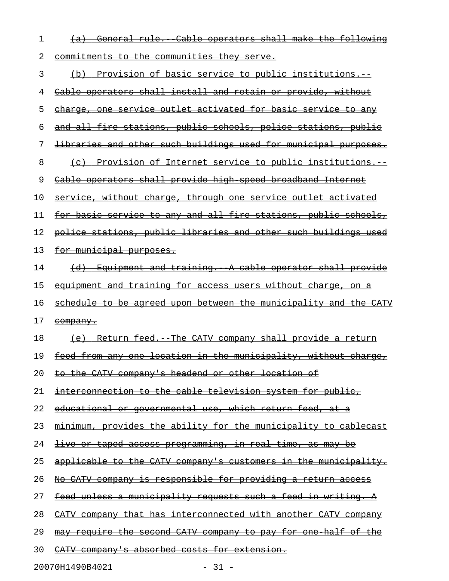| ı  | Cable operators shall make<br>the following<br><del>General rule.</del>      |
|----|------------------------------------------------------------------------------|
| 2  | <u>commitments to the communities they serve.</u>                            |
| 3  | <u>-Provision of basic service to public institutions.</u><br><del>(b)</del> |
| 4  | Cable operators shall install and retain or provide, without                 |
| 5  | charge, one service outlet activated for basic service to any                |
| 6  | and all fire stations, public schools, police stations, public               |
| 7  | <u>libraries and other such buildings used for municipal purposes.</u>       |
| 8  | <u>Provision of Internet service to public institutions.</u>                 |
| 9  | Cable operators shall provide high speed broadband Internet                  |
| 10 | service, without charge, through one service outlet activated                |
| 11 | for basic service to any and all fire stations, public schools,              |
| 12 | police stations, public libraries and other such buildings used              |
| 13 | for municipal purposes.                                                      |
| 14 | Equipment and training. A cable operator shall provide<br><del>(d)</del>     |
| 15 | equipment and training for access users without charge, on a                 |
|    |                                                                              |
| 16 | schedule to be agreed upon between the municipality and the CATV             |
| 17 | <del>company.</del>                                                          |
| 18 | (e) Return feed. The CATV company shall provide a return                     |
| 19 | feed from any one location in the municipality, without charge,              |
| 20 | to the CATV company's headend or other location of                           |
| 21 | interconnection to the cable television system for public,                   |
| 22 | educational or governmental use, which return feed, at a                     |
| 23 | minimum, provides the ability for the municipality to cablecast              |
| 24 | live or taped access programming, in real time, as may be                    |
| 25 | applicable to the CATV company's customers in the municipality.              |
| 26 | No CATV company is responsible for providing a return access                 |
| 27 | feed unless a municipality requests such a feed in writing. A                |
| 28 | CATV company that has interconnected with another CATV company               |
| 29 | may require the second CATV company to pay for one half of the               |

20070H1490B4021 - 31 -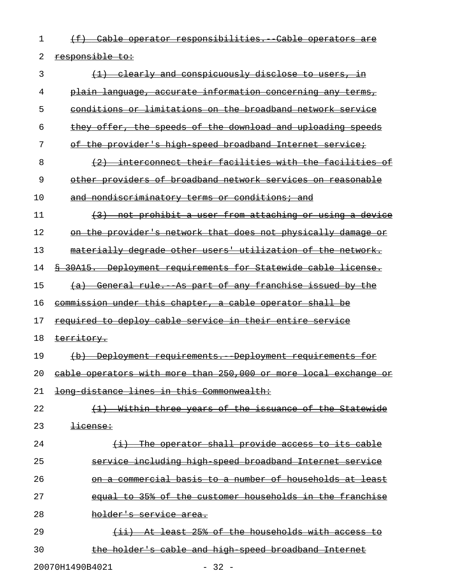1 (f) Cable operator responsibilities. Cable operators are 2 responsible to:

| 3  | (1) clearly and conspicuously disclose to users, in                 |
|----|---------------------------------------------------------------------|
| 4  | plain language, accurate information concerning any terms,          |
| 5  | conditions or limitations on the broadband network service          |
| 6  | they offer, the speeds of the download and uploading speeds         |
| 7  | of the provider's high speed broadband Internet service;            |
| 8  | (2) interconnect their facilities with the facilities of            |
| 9  | other providers of broadband network services on reasonable         |
| 10 | <u>and nondiscriminatory terms or conditions; and</u>               |
| 11 | (3) not prohibit a user from attaching or using a device            |
| 12 | on the provider's network that does not physically damage or        |
| 13 | materially degrade other users' utilization of the network.         |
| 14 | \$ 30A15. Deployment requirements for Statewide cable license.      |
| 15 | (a) General rule. As part of any franchise issued by the            |
| 16 | commission under this chapter, a cable operator shall be            |
| 17 | required to deploy cable service in their entire service            |
| 18 | territory.                                                          |
| 19 | (b) Deployment requirements. Deployment requirements for            |
| 20 | eable operators with more than 250,000 or more local exchange or    |
| 21 | long distance lines in this Commonwealth:                           |
| 22 | <u>Within three years of the issuance of the Statewide</u>          |
| 23 | <del>license:</del>                                                 |
| 24 | The operator shall provide access to its cable<br>$\leftrightarrow$ |
| 25 | service including high speed broadband Internet service             |
| 26 | on a commercial basis to a number of households at least            |
| 27 | equal to 35% of the customer households in the franchise            |
| 28 | <del>holder's service area.</del>                                   |
| 29 | At least 25% of the households with access to                       |
| 30 | the holder's cable and high speed broadband Internet                |
|    |                                                                     |

20070H1490B4021 - 32 -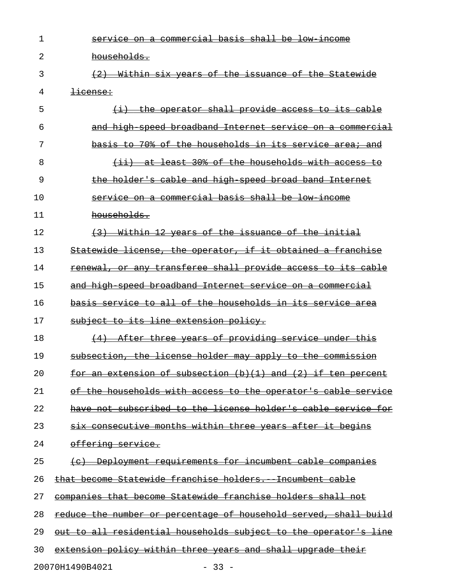| 1  | service on a commercial basis shall be low income                                                                    |
|----|----------------------------------------------------------------------------------------------------------------------|
| 2  | households.                                                                                                          |
| 3  | (2) Within six years of the issuance of the Statewide                                                                |
| 4  | <del>license:</del>                                                                                                  |
| 5  | $(i)$ the operator shall provide access to its cable                                                                 |
| 6  | and high speed broadband Internet service on a commercial                                                            |
| 7  | basis to 70% of the households in its service area; and                                                              |
| 8  | $(i)$ at least 30% of the households with access to                                                                  |
| 9  | the holder's cable and high speed broad band Internet                                                                |
| 10 | service on a commercial basis shall be low income                                                                    |
| 11 | households.                                                                                                          |
| 12 | (3) Within 12 years of the issuance of the initial                                                                   |
| 13 | Statewide license, the operator, if it obtained a franchise                                                          |
| 14 | renewal, or any transferee shall provide access to its cable                                                         |
| 15 | and high speed broadband Internet service on a commercial                                                            |
| 16 | basis service to all of the households in its service area                                                           |
| 17 | subject to its line extension policy.                                                                                |
| 18 | (4) After three years of providing service under this                                                                |
| 19 | subsection, the license holder may apply to the commission                                                           |
| 20 | extension of subsection $(b)(1)$ and $(2)$ if<br><del>ten percent</del><br>-an-                                      |
| 21 | of the households with access to the operator's cable service                                                        |
| 22 | not subscribed to the license holder's cable<br><del>service for</del>                                               |
| 23 | <u>consecutive months within three years after it begins</u>                                                         |
| 24 | <del>offering service.</del>                                                                                         |
| 25 | Deployment requirements for incumbent cable companies                                                                |
| 26 | <u>Statewide franchise holders.</u><br><del>-Incumbent cable</del><br><del>that become</del>                         |
| 27 | <u>companies that become Statewide franchise holders shall</u><br>-not                                               |
| 28 | the number or percentage of household served, shall<br><del>build</del><br><del>reduce-</del>                        |
| 29 | $_{\text{out-to-all}}$<br><u>residential households subject to the </u><br><del>operator's</del><br><del>lin</del> e |
| 30 | extension policy within three years and shall upgrade their                                                          |
|    | 20070H1490B4021<br>$-33 -$                                                                                           |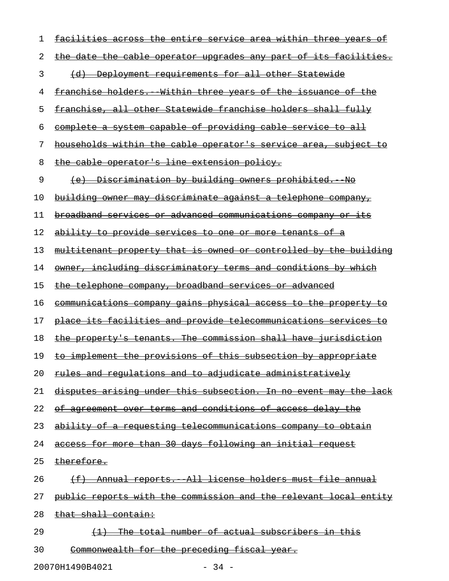| 1  | facilities across the entire service area within three years of  |
|----|------------------------------------------------------------------|
| 2  | the date the cable operator upgrades any part of its facilities. |
| 3  | (d) Deployment requirements for all other Statewide              |
| 4  | franchise holders. Within three years of the issuance of the     |
| 5  | franchise, all other Statewide franchise holders shall fully     |
| 6  | complete a system capable of providing cable service to all      |
| 7  | households within the cable operator's service area, subject to  |
| 8  | the cable operator's line extension policy.                      |
| 9  | (e) Discrimination by building owners prohibited. No             |
| 10 | building owner may discriminate against a telephone company,     |
| 11 | broadband services or advanced communications company or its     |
| 12 | ability to provide services to one or more tenants of a          |
| 13 | multitenant property that is owned or controlled by the building |
| 14 | owner, including discriminatory terms and conditions by which    |
| 15 | the telephone company, broadband services or advanced            |
| 16 | communications company gains physical access to the property to  |
| 17 | place its facilities and provide telecommunications services to  |
| 18 | the property's tenants. The commission shall have jurisdiction   |
| 19 | to implement the provisions of this subsection by appropriate    |
| 20 | rules and regulations and to adjudicate administratively         |
| 21 | disputes arising under this subsection. In no event may the lack |
| 22 | agreement over terms and conditions of access delay the<br>⊖±    |
| 23 | ability of a requesting telecommunications company to obtain     |
| 24 | access for more than 30 days following an initial request        |
| 25 | therefore.                                                       |
| 26 | Annual reports. All license holders must file annual             |
| 27 | public reports with the commission and the relevant local entity |
| 28 | that shall contain:                                              |
| 29 | <del>The-</del><br>total number of actual subscribers in this    |
| 30 | Commonwealth for the preceding fiscal year.                      |

20070H1490B4021 - 34 -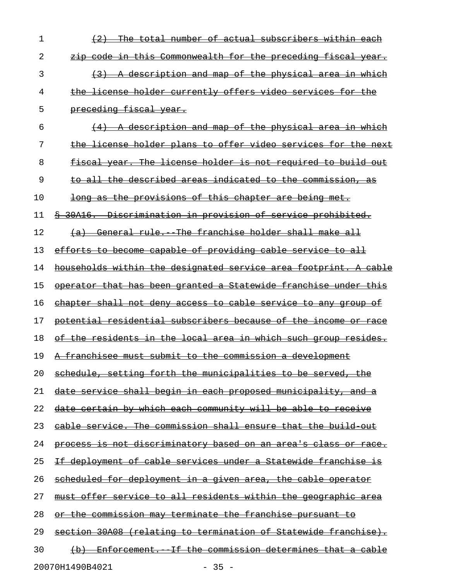| 1  | The total number of actual subscribers within each                    |
|----|-----------------------------------------------------------------------|
| 2  | zip code in this Commonwealth for the preceding fiscal year.          |
| 3  | (3) A description and map of the physical area in which               |
| 4  | the license holder currently offers video services for the            |
| 5  | preceding fiscal year.                                                |
| 6  | (4) A description and map of the physical area in which               |
| 7  | the license holder plans to offer video services for the next         |
| 8  | fiscal year. The license holder is not required to build out          |
| 9  | to all the described areas indicated to the commission, as            |
| 10 | <u>long as the provisions of this chapter are being met.</u>          |
| 11 | \$ 30A16. Discrimination in provision of service prohibited.          |
| 12 | (a) General rule. The franchise holder shall make all                 |
| 13 | efforts to become capable of providing cable service to all           |
| 14 | households within the designated service area footprint. A cable      |
| 15 | operator that has been granted a Statewide franchise under this       |
| 16 | <u>chapter shall not deny access to cable service to any group of</u> |
| 17 | potential residential subscribers because of the income or race       |
| 18 | of the residents in the local area in which such group resides.       |
| 19 | A franchisee must submit to the commission a development              |
| 20 | schedule, setting forth the municipalities to be served, the          |
| 21 | date service shall begin in each proposed municipality, and a         |
| 22 | date certain by which each community will be able to receive          |
| 23 | cable service. The commission shall ensure that the build out         |
| 24 | process is not discriminatory based on an area's class or race.       |
| 25 | If deployment of cable services under a Statewide franchise is        |
| 26 | scheduled for deployment in a given area, the cable operator          |
| 27 | must offer service to all residents within the geographic area        |
| 28 | or the commission may terminate the franchise pursuant to             |
| 29 | section 30A08 (relating to termination of Statewide franchise).       |
| 30 | (b) Enforcement. If the commission determines that a cable            |
|    | 20070H1490B4021<br>$-35 -$                                            |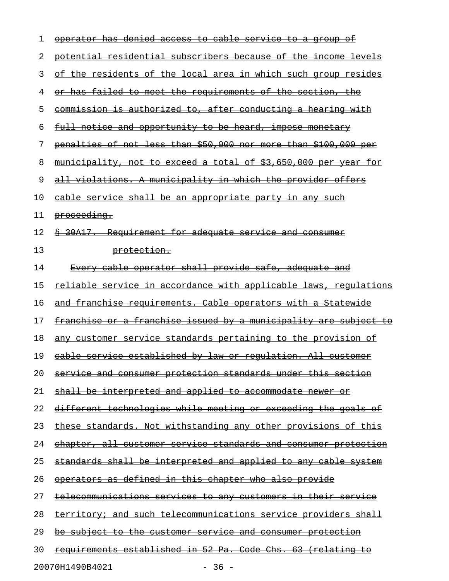| 1  | <u>operator has denied access to cable service to a group of</u>        |
|----|-------------------------------------------------------------------------|
| 2  | potential residential subscribers because of the income levels          |
| 3  | of the residents of the local area in which such group resides          |
| 4  | or has failed to meet the requirements of the section, the              |
| 5  | commission is authorized to, after conducting a hearing with            |
| 6  | <u>full notice and opportunity to be heard, impose monetary</u>         |
| 7  | penalties of not less than \$50,000 nor more than \$100,000 per         |
| 8  | municipality, not to exceed a total of \$3,650,000 per year for         |
| 9  | all violations. A municipality in which the provider offers             |
| 10 | cable service shall be an appropriate party in any such                 |
| 11 | <del>proceeding.</del>                                                  |
| 12 | \$ 30A17. Requirement for adequate service and consumer                 |
| 13 | protection.                                                             |
| 14 | Every cable operator shall provide safe, adequate and                   |
| 15 | <u>reliable service in accordance with applicable laws, requlations</u> |
| 16 | and franchise requirements. Cable operators with a Statewide            |
| 17 | franchise or a franchise issued by a municipality are subject to        |
| 18 | <u>any customer service standards pertaining to the provision of</u>    |
| 19 | cable service established by law or regulation. All customer            |
| 20 | <u>service and consumer protection standards under this section</u>     |
| 21 | shall be interpreted and applied to accommodate newer or                |
| 22 | <u>different technologies while meeting or exceeding the goals of</u>   |
| 23 | <u>these standards. Not withstanding any other provisions of this </u>  |
| 24 | <u>ehapter, all customer service standards and consumer protection</u>  |
| 25 | <u>standards shall be interpreted and applied to any cable system</u>   |
| 26 | <u>operators as defined in this chapter who also provide</u>            |
| 27 | telecommunications services to any customers in their service           |
| 28 | <u>territory; and such telecommunications service providers shall</u>   |
| 29 | <u>be subject to the customer service and consumer protection</u>       |
| 30 | <u>requirements established in 52 Pa. Code Chs. 63 (relating to</u>     |
|    |                                                                         |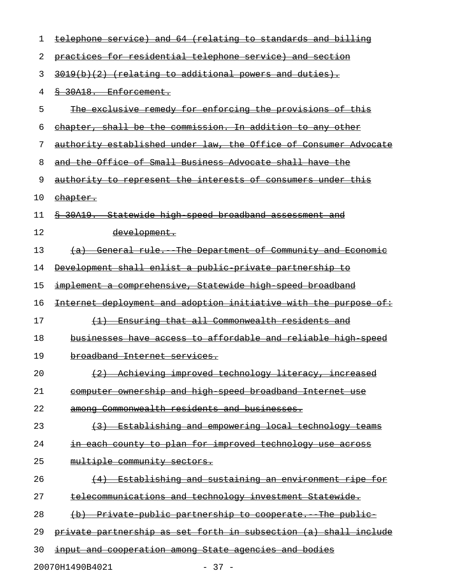| 1  | (relating to standards and billing<br>service) and<br>-64<br>telephone           |
|----|----------------------------------------------------------------------------------|
| 2  | practices for residential telephone service) and section                         |
| 3  | $3019(b)(2)$ (relating to additional powers and duties).                         |
| 4  | § 30A18. Enforcement.                                                            |
| 5  | The exclusive remedy for enforcing the provisions of this                        |
| 6  | chapter, shall be the commission. In addition to any other                       |
| 7  | authority established under law, the Office of Consumer Advocate                 |
| 8  | and the Office of Small Business Advocate shall have the                         |
| 9  | authority to represent the interests of consumers under this                     |
| 10 | <u>ehapter.</u>                                                                  |
| 11 | Statewide high speed broadband assessment and<br>30A19.                          |
| 12 | <del>development.</del>                                                          |
| 13 | (a) General rule. The Department of Community and Economic                       |
| 14 | Development shall enlist a public private partnership to                         |
| 15 | implement a comprehensive, Statewide high speed broadband                        |
| 16 | Internet deployment and adoption initiative with the purpose of:                 |
| 17 | Ensuring that all Commonwealth residents and<br>$\left(1\right)$                 |
| 18 | businesses have access to affordable and reliable high speed                     |
| 19 | broadband Internet services.                                                     |
| 20 | Achieving improved technology literacy, increased                                |
| 21 | computer ownership and high speed broadband Internet use                         |
| 22 | among Commonwealth residents and businesses.                                     |
| 23 | Establishing and empowering local technology teams<br>$\left(3\right)$           |
| 24 | in each county to plan for improved technology use across                        |
| 25 | multiple community sectors.                                                      |
| 26 | <u>Establishing and sustaining an environment ripe for</u><br>$+4+$              |
| 27 | <u>telecommunications and technology investment Statewide.</u>                   |
| 28 | <u>Private public partnership to cooperate. The public-</u><br>$\leftrightarrow$ |
| 29 | private partnership as set forth in subsection (a) shall include                 |
| 30 | input and cooperation among State agencies and bodies                            |
|    | 20070H1490B4021<br>$-37 -$                                                       |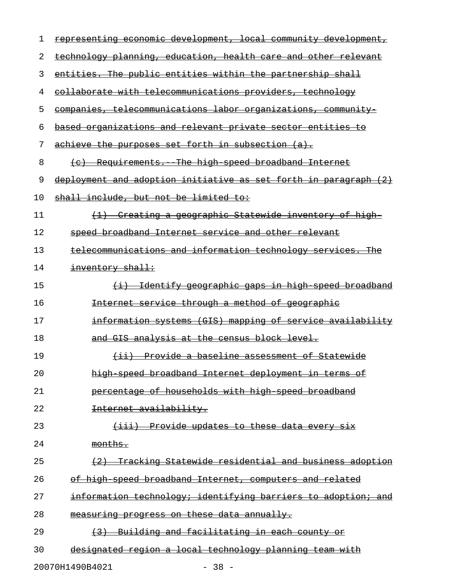| 1  | representing economic development, local community development,  |
|----|------------------------------------------------------------------|
| 2  | technology planning, education, health care and other relevant   |
| 3  | entities. The public entities within the partnership shall       |
| 4  | collaborate with telecommunications providers, technology        |
| 5  | companies, telecommunications labor organizations, community     |
| 6  | based organizations and relevant private sector entities to      |
| 7  | achieve the purposes set forth in subsection (a).                |
| 8  | (c) Requirements. The high speed broadband Internet              |
| 9  | deployment and adoption initiative as set forth in paragraph (2) |
| 10 | shall include, but not be limited to:                            |
| 11 | (1) Creating a geographic Statewide inventory of high-           |
| 12 | speed broadband Internet service and other relevant              |
| 13 | telecommunications and information technology services. The      |
| 14 | inventory shall:                                                 |
| 15 | (i) Identify geographic gaps in high speed broadband             |
| 16 | Internet service through a method of geographic                  |
| 17 | information systems (GIS) mapping of service availability        |
| 18 | and GIS analysis at the census block level.                      |
| 19 | (ii) Provide a baseline assessment of Statewide                  |
| 20 | high speed broadband Internet deployment in terms of             |
| 21 | percentage of households with high speed broadband               |
| 22 | Internet availability.                                           |
| 23 | (iii) Provide updates to these data every six                    |
| 24 | months.                                                          |
| 25 | (2) Tracking Statewide residential and business adoption         |
| 26 | of high speed broadband Internet, computers and related          |
| 27 | information technology; identifying barriers to adoption; and    |
| 28 | measuring progress on these data annually.                       |
| 29 | (3) Building and facilitating in each county or                  |
| 30 | designated region a local technology planning team with          |
|    |                                                                  |

20070H1490B4021 - 38 -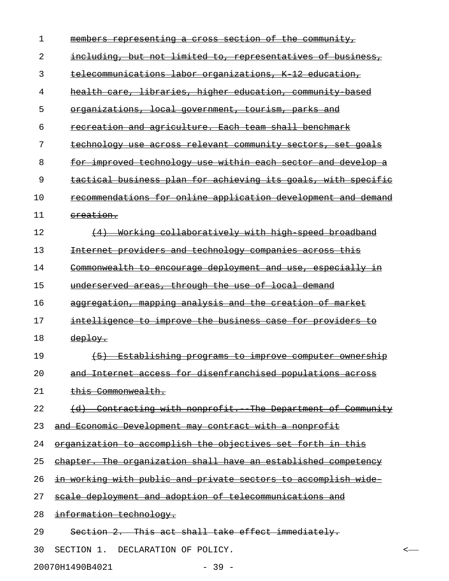| 1  | <u>members representing a cross section of the community, </u> |
|----|----------------------------------------------------------------|
| 2  | including, but not limited to, representatives of business,    |
| 3  | telecommunications labor organizations, K 12 education,        |
| 4  | health care, libraries, higher education, community based      |
| 5  | organizations, local government, tourism, parks and            |
| 6  | recreation and agriculture. Each team shall benchmark          |
| 7  | technology use across relevant community sectors, set goals    |
| 8  | for improved technology use within each sector and develop a   |
| 9  | tactical business plan for achieving its goals, with specific  |
| 10 | recommendations for online application development and demand  |
| 11 | ereation.                                                      |
| 12 | (4) Working collaboratively with high speed broadband          |
| 13 | Internet providers and technology companies across this        |
| 14 | Commonwealth to encourage deployment and use, especially in    |
| 15 | underserved areas, through the use of local demand             |
| 16 | aggregation, mapping analysis and the creation of market       |
| 17 | intelligence to improve the business case for providers to     |
| 18 | deploy.                                                        |
| 19 | $+5+$<br>Establishing programs to improve computer ownership   |
| 20 | and Internet access for disenfranchised populations across     |
| 21 | this Commonwealth.                                             |
| 22 | (d) Contracting with nonprofit. The Department of Community    |
| 23 | and Economic Development may contract with a nonprofit         |
| 24 | organization to accomplish the objectives set forth in this    |
| 25 | chapter. The organization shall have an established competency |
| 26 | in working with public and private sectors to accomplish wide  |
| 27 | scale deployment and adoption of telecommunications and        |
| 28 | information technology.                                        |
| 29 | Section 2. This act shall take effect immediately.             |
| 30 | SECTION 1. DECLARATION OF POLICY.<br><                         |
|    |                                                                |

20070H1490B4021 - 39 -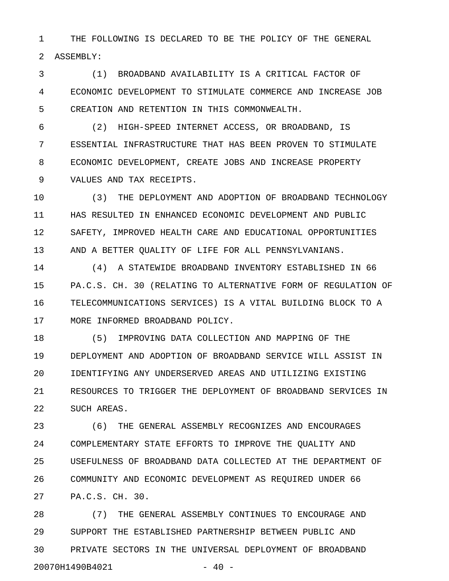1 THE FOLLOWING IS DECLARED TO BE THE POLICY OF THE GENERAL 2 ASSEMBLY:

3 (1) BROADBAND AVAILABILITY IS A CRITICAL FACTOR OF 4 ECONOMIC DEVELOPMENT TO STIMULATE COMMERCE AND INCREASE JOB 5 CREATION AND RETENTION IN THIS COMMONWEALTH.

6 (2) HIGH-SPEED INTERNET ACCESS, OR BROADBAND, IS 7 ESSENTIAL INFRASTRUCTURE THAT HAS BEEN PROVEN TO STIMULATE 8 ECONOMIC DEVELOPMENT, CREATE JOBS AND INCREASE PROPERTY 9 VALUES AND TAX RECEIPTS.

10 (3) THE DEPLOYMENT AND ADOPTION OF BROADBAND TECHNOLOGY 11 HAS RESULTED IN ENHANCED ECONOMIC DEVELOPMENT AND PUBLIC 12 SAFETY, IMPROVED HEALTH CARE AND EDUCATIONAL OPPORTUNITIES 13 AND A BETTER QUALITY OF LIFE FOR ALL PENNSYLVANIANS.

14 (4) A STATEWIDE BROADBAND INVENTORY ESTABLISHED IN 66 15 PA.C.S. CH. 30 (RELATING TO ALTERNATIVE FORM OF REGULATION OF 16 TELECOMMUNICATIONS SERVICES) IS A VITAL BUILDING BLOCK TO A 17 MORE INFORMED BROADBAND POLICY.

18 (5) IMPROVING DATA COLLECTION AND MAPPING OF THE 19 DEPLOYMENT AND ADOPTION OF BROADBAND SERVICE WILL ASSIST IN 20 IDENTIFYING ANY UNDERSERVED AREAS AND UTILIZING EXISTING 21 RESOURCES TO TRIGGER THE DEPLOYMENT OF BROADBAND SERVICES IN 22 SUCH AREAS.

23 (6) THE GENERAL ASSEMBLY RECOGNIZES AND ENCOURAGES 24 COMPLEMENTARY STATE EFFORTS TO IMPROVE THE QUALITY AND 25 USEFULNESS OF BROADBAND DATA COLLECTED AT THE DEPARTMENT OF 26 COMMUNITY AND ECONOMIC DEVELOPMENT AS REQUIRED UNDER 66 27 PA.C.S. CH. 30.

28 (7) THE GENERAL ASSEMBLY CONTINUES TO ENCOURAGE AND 29 SUPPORT THE ESTABLISHED PARTNERSHIP BETWEEN PUBLIC AND 30 PRIVATE SECTORS IN THE UNIVERSAL DEPLOYMENT OF BROADBAND 20070H1490B4021 - 40 -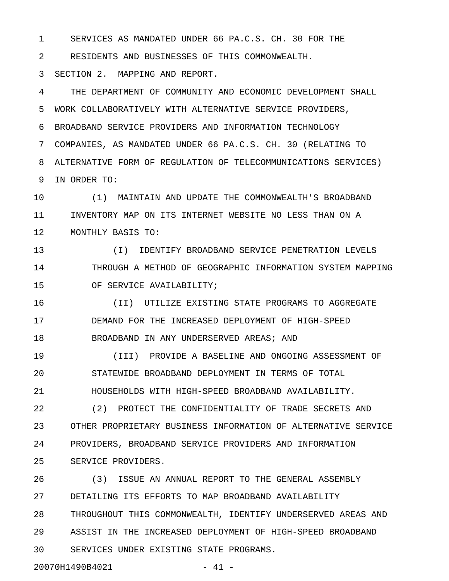1 SERVICES AS MANDATED UNDER 66 PA.C.S. CH. 30 FOR THE

2 RESIDENTS AND BUSINESSES OF THIS COMMONWEALTH.

3 SECTION 2. MAPPING AND REPORT.

4 THE DEPARTMENT OF COMMUNITY AND ECONOMIC DEVELOPMENT SHALL 5 WORK COLLABORATIVELY WITH ALTERNATIVE SERVICE PROVIDERS, 6 BROADBAND SERVICE PROVIDERS AND INFORMATION TECHNOLOGY 7 COMPANIES, AS MANDATED UNDER 66 PA.C.S. CH. 30 (RELATING TO 8 ALTERNATIVE FORM OF REGULATION OF TELECOMMUNICATIONS SERVICES) 9 IN ORDER TO:

10 (1) MAINTAIN AND UPDATE THE COMMONWEALTH'S BROADBAND 11 INVENTORY MAP ON ITS INTERNET WEBSITE NO LESS THAN ON A 12 MONTHLY BASIS TO:

13 (I) IDENTIFY BROADBAND SERVICE PENETRATION LEVELS 14 THROUGH A METHOD OF GEOGRAPHIC INFORMATION SYSTEM MAPPING 15 OF SERVICE AVAILABILITY;

16 (II) UTILIZE EXISTING STATE PROGRAMS TO AGGREGATE 17 DEMAND FOR THE INCREASED DEPLOYMENT OF HIGH-SPEED 18 BROADBAND IN ANY UNDERSERVED AREAS; AND

19 (III) PROVIDE A BASELINE AND ONGOING ASSESSMENT OF 20 STATEWIDE BROADBAND DEPLOYMENT IN TERMS OF TOTAL 21 HOUSEHOLDS WITH HIGH-SPEED BROADBAND AVAILABILITY.

22 (2) PROTECT THE CONFIDENTIALITY OF TRADE SECRETS AND 23 OTHER PROPRIETARY BUSINESS INFORMATION OF ALTERNATIVE SERVICE 24 PROVIDERS, BROADBAND SERVICE PROVIDERS AND INFORMATION 25 SERVICE PROVIDERS.

26 (3) ISSUE AN ANNUAL REPORT TO THE GENERAL ASSEMBLY 27 DETAILING ITS EFFORTS TO MAP BROADBAND AVAILABILITY 28 THROUGHOUT THIS COMMONWEALTH, IDENTIFY UNDERSERVED AREAS AND 29 ASSIST IN THE INCREASED DEPLOYMENT OF HIGH-SPEED BROADBAND 30 SERVICES UNDER EXISTING STATE PROGRAMS. 20070H1490B4021 - 41 -